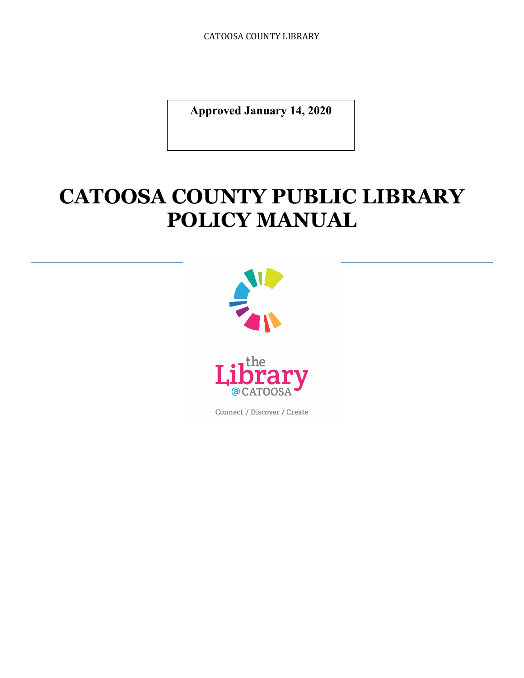CATOOSA COUNTY LIBRARY

**Approved January 14, 2020**

# **CATOOSA COUNTY PUBLIC LIBRARY POLICY MANUAL**



Connect / Discover / Create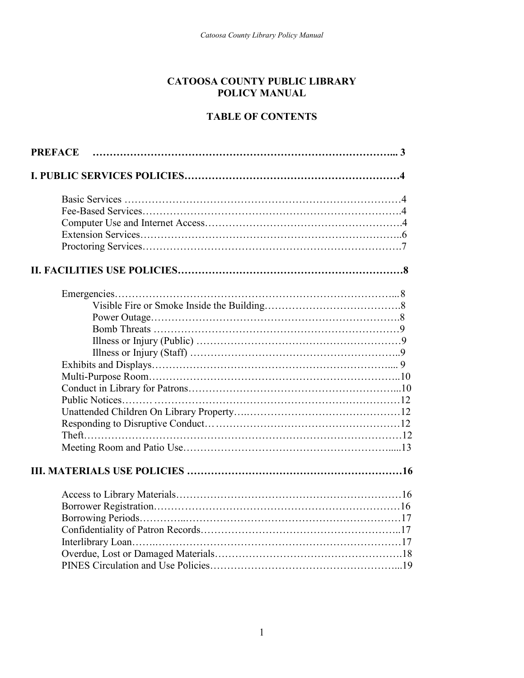#### **CATOOSA COUNTY PUBLIC LIBRARY POLICY MANUAL**

#### **TABLE OF CONTENTS**

| <b>PREFACE</b> |  |
|----------------|--|
|                |  |
|                |  |
|                |  |
|                |  |
|                |  |
|                |  |
|                |  |
|                |  |
|                |  |
|                |  |
|                |  |
|                |  |
|                |  |
|                |  |
|                |  |
|                |  |
|                |  |
|                |  |
|                |  |
|                |  |
|                |  |
|                |  |
|                |  |
|                |  |
|                |  |
|                |  |
|                |  |
|                |  |
|                |  |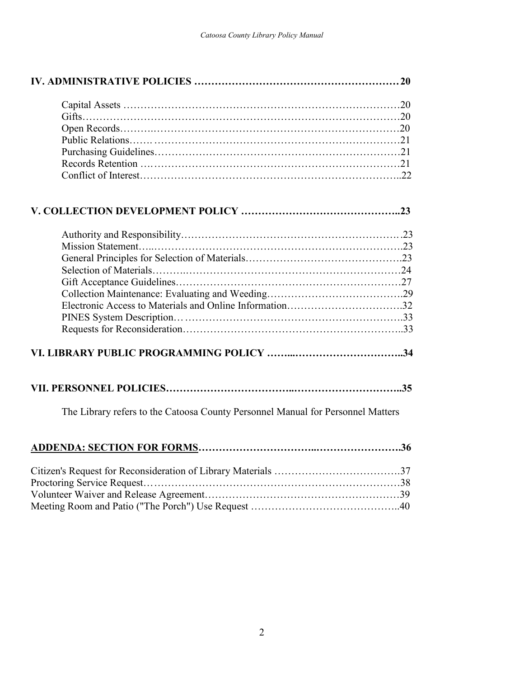| Electronic Access to Materials and Online Information32                         |  |
|---------------------------------------------------------------------------------|--|
|                                                                                 |  |
|                                                                                 |  |
|                                                                                 |  |
|                                                                                 |  |
| The Library refers to the Catoosa County Personnel Manual for Personnel Matters |  |
|                                                                                 |  |
|                                                                                 |  |
|                                                                                 |  |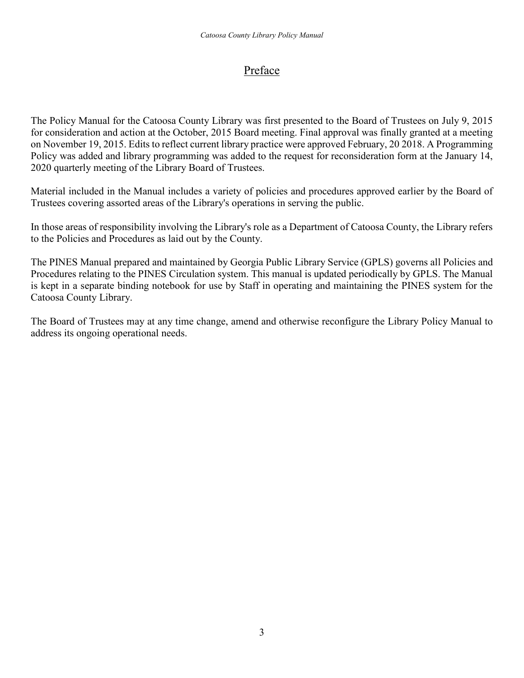## Preface

The Policy Manual for the Catoosa County Library was first presented to the Board of Trustees on July 9, 2015 for consideration and action at the October, 2015 Board meeting. Final approval was finally granted at a meeting on November 19, 2015. Edits to reflect current library practice were approved February, 20 2018. A Programming Policy was added and library programming was added to the request for reconsideration form at the January 14, 2020 quarterly meeting of the Library Board of Trustees.

Material included in the Manual includes a variety of policies and procedures approved earlier by the Board of Trustees covering assorted areas of the Library's operations in serving the public.

In those areas of responsibility involving the Library's role as a Department of Catoosa County, the Library refers to the Policies and Procedures as laid out by the County.

The PINES Manual prepared and maintained by Georgia Public Library Service (GPLS) governs all Policies and Procedures relating to the PINES Circulation system. This manual is updated periodically by GPLS. The Manual is kept in a separate binding notebook for use by Staff in operating and maintaining the PINES system for the Catoosa County Library.

The Board of Trustees may at any time change, amend and otherwise reconfigure the Library Policy Manual to address its ongoing operational needs.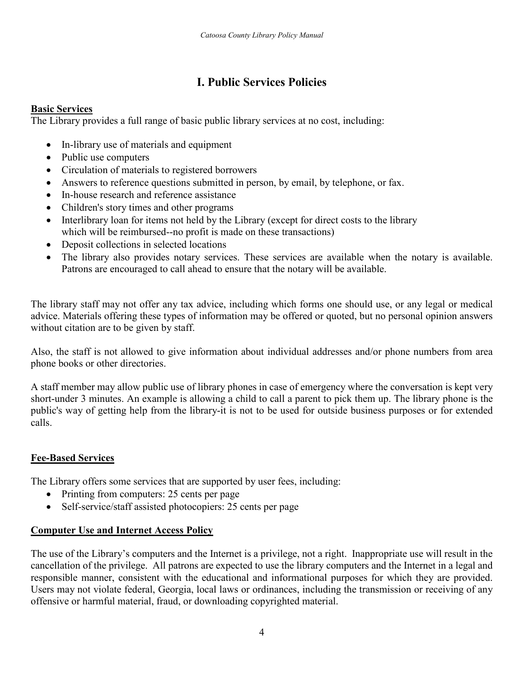## **I. Public Services Policies**

## **Basic Services**

The Library provides a full range of basic public library services at no cost, including:

- In-library use of materials and equipment
- Public use computers
- Circulation of materials to registered borrowers
- Answers to reference questions submitted in person, by email, by telephone, or fax.
- In-house research and reference assistance
- Children's story times and other programs
- Interlibrary loan for items not held by the Library (except for direct costs to the library which will be reimbursed--no profit is made on these transactions)
- Deposit collections in selected locations
- The library also provides notary services. These services are available when the notary is available. Patrons are encouraged to call ahead to ensure that the notary will be available.

The library staff may not offer any tax advice, including which forms one should use, or any legal or medical advice. Materials offering these types of information may be offered or quoted, but no personal opinion answers without citation are to be given by staff.

Also, the staff is not allowed to give information about individual addresses and/or phone numbers from area phone books or other directories.

A staff member may allow public use of library phones in case of emergency where the conversation is kept very short-under 3 minutes. An example is allowing a child to call a parent to pick them up. The library phone is the public's way of getting help from the library-it is not to be used for outside business purposes or for extended calls.

## **Fee-Based Services**

The Library offers some services that are supported by user fees, including:

- Printing from computers: 25 cents per page
- Self-service/staff assisted photocopiers: 25 cents per page

## **Computer Use and Internet Access Policy**

The use of the Library's computers and the Internet is a privilege, not a right. Inappropriate use will result in the cancellation of the privilege. All patrons are expected to use the library computers and the Internet in a legal and responsible manner, consistent with the educational and informational purposes for which they are provided. Users may not violate federal, Georgia, local laws or ordinances, including the transmission or receiving of any offensive or harmful material, fraud, or downloading copyrighted material.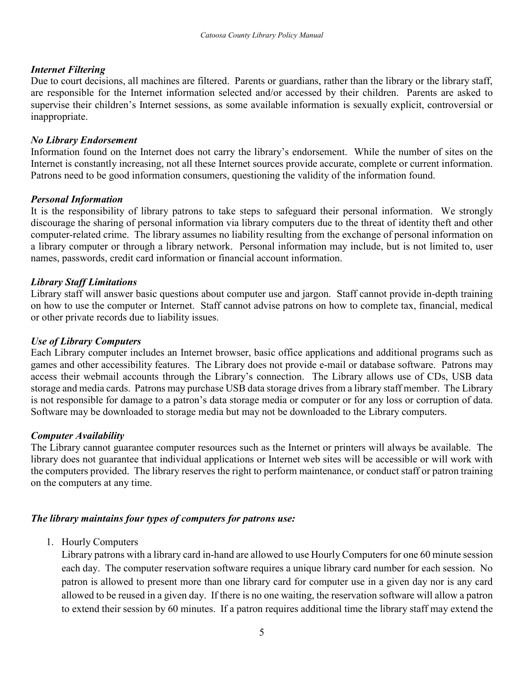#### *Internet Filtering*

Due to court decisions, all machines are filtered. Parents or guardians, rather than the library or the library staff, are responsible for the Internet information selected and/or accessed by their children. Parents are asked to supervise their children's Internet sessions, as some available information is sexually explicit, controversial or inappropriate.

#### *No Library Endorsement*

Information found on the Internet does not carry the library's endorsement. While the number of sites on the Internet is constantly increasing, not all these Internet sources provide accurate, complete or current information. Patrons need to be good information consumers, questioning the validity of the information found.

#### *Personal Information*

It is the responsibility of library patrons to take steps to safeguard their personal information. We strongly discourage the sharing of personal information via library computers due to the threat of identity theft and other computer-related crime. The library assumes no liability resulting from the exchange of personal information on a library computer or through a library network. Personal information may include, but is not limited to, user names, passwords, credit card information or financial account information.

#### *Library Staff Limitations*

Library staff will answer basic questions about computer use and jargon. Staff cannot provide in-depth training on how to use the computer or Internet. Staff cannot advise patrons on how to complete tax, financial, medical or other private records due to liability issues.

#### *Use of Library Computers*

Each Library computer includes an Internet browser, basic office applications and additional programs such as games and other accessibility features. The Library does not provide e-mail or database software. Patrons may access their webmail accounts through the Library's connection. The Library allows use of CDs, USB data storage and media cards. Patrons may purchase USB data storage drives from a library staff member. The Library is not responsible for damage to a patron's data storage media or computer or for any loss or corruption of data. Software may be downloaded to storage media but may not be downloaded to the Library computers.

## *Computer Availability*

The Library cannot guarantee computer resources such as the Internet or printers will always be available. The library does not guarantee that individual applications or Internet web sites will be accessible or will work with the computers provided. The library reserves the right to perform maintenance, or conduct staff or patron training on the computers at any time.

## *The library maintains four types of computers for patrons use:*

1. Hourly Computers

Library patrons with a library card in-hand are allowed to use Hourly Computers for one 60 minute session each day. The computer reservation software requires a unique library card number for each session. No patron is allowed to present more than one library card for computer use in a given day nor is any card allowed to be reused in a given day. If there is no one waiting, the reservation software will allow a patron to extend their session by 60 minutes. If a patron requires additional time the library staff may extend the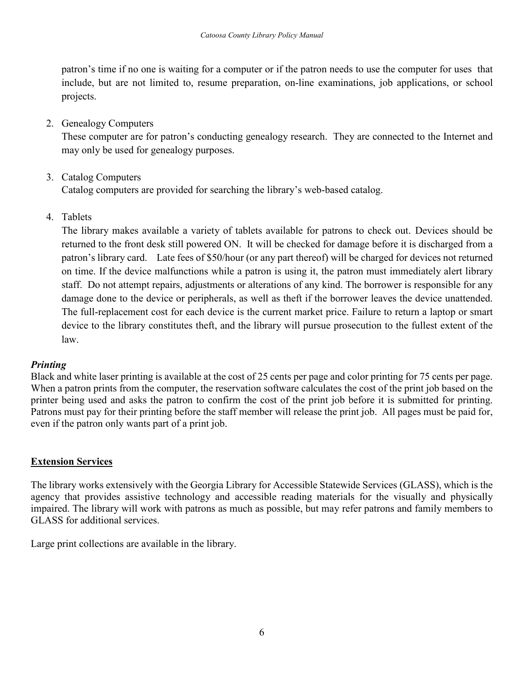patron's time if no one is waiting for a computer or if the patron needs to use the computer for uses that include, but are not limited to, resume preparation, on-line examinations, job applications, or school projects.

## 2. Genealogy Computers

These computer are for patron's conducting genealogy research. They are connected to the Internet and may only be used for genealogy purposes.

## 3. Catalog Computers

Catalog computers are provided for searching the library's web-based catalog.

4. Tablets

The library makes available a variety of tablets available for patrons to check out. Devices should be returned to the front desk still powered ON. It will be checked for damage before it is discharged from a patron's library card. Late fees of \$50/hour (or any part thereof) will be charged for devices not returned on time. If the device malfunctions while a patron is using it, the patron must immediately alert library staff. Do not attempt repairs, adjustments or alterations of any kind. The borrower is responsible for any damage done to the device or peripherals, as well as theft if the borrower leaves the device unattended. The full-replacement cost for each device is the current market price. Failure to return a laptop or smart device to the library constitutes theft, and the library will pursue prosecution to the fullest extent of the law.

## *Printing*

Black and white laser printing is available at the cost of 25 cents per page and color printing for 75 cents per page. When a patron prints from the computer, the reservation software calculates the cost of the print job based on the printer being used and asks the patron to confirm the cost of the print job before it is submitted for printing. Patrons must pay for their printing before the staff member will release the print job. All pages must be paid for, even if the patron only wants part of a print job.

## **Extension Services**

The library works extensively with the Georgia Library for Accessible Statewide Services (GLASS), which is the agency that provides assistive technology and accessible reading materials for the visually and physically impaired. The library will work with patrons as much as possible, but may refer patrons and family members to GLASS for additional services.

Large print collections are available in the library.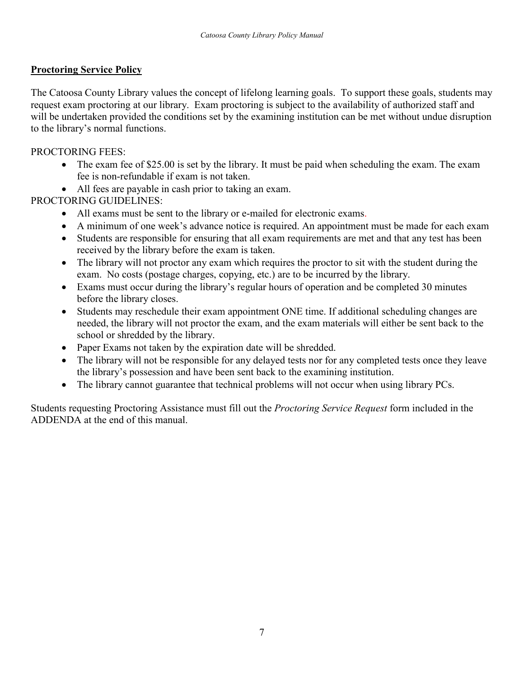#### **Proctoring Service Policy**

The Catoosa County Library values the concept of lifelong learning goals. To support these goals, students may request exam proctoring at our library. Exam proctoring is subject to the availability of authorized staff and will be undertaken provided the conditions set by the examining institution can be met without undue disruption to the library's normal functions.

#### PROCTORING FEES:

- The exam fee of \$25.00 is set by the library. It must be paid when scheduling the exam. The exam fee is non-refundable if exam is not taken.
- All fees are payable in cash prior to taking an exam.

PROCTORING GUIDELINES:

- All exams must be sent to the library or e-mailed for electronic exams.
- A minimum of one week's advance notice is required. An appointment must be made for each exam
- Students are responsible for ensuring that all exam requirements are met and that any test has been received by the library before the exam is taken.
- The library will not proctor any exam which requires the proctor to sit with the student during the exam. No costs (postage charges, copying, etc.) are to be incurred by the library.
- Exams must occur during the library's regular hours of operation and be completed 30 minutes before the library closes.
- Students may reschedule their exam appointment ONE time. If additional scheduling changes are needed, the library will not proctor the exam, and the exam materials will either be sent back to the school or shredded by the library.
- Paper Exams not taken by the expiration date will be shredded.
- The library will not be responsible for any delayed tests nor for any completed tests once they leave the library's possession and have been sent back to the examining institution.
- The library cannot guarantee that technical problems will not occur when using library PCs.

Students requesting Proctoring Assistance must fill out the *Proctoring Service Request* form included in the ADDENDA at the end of this manual.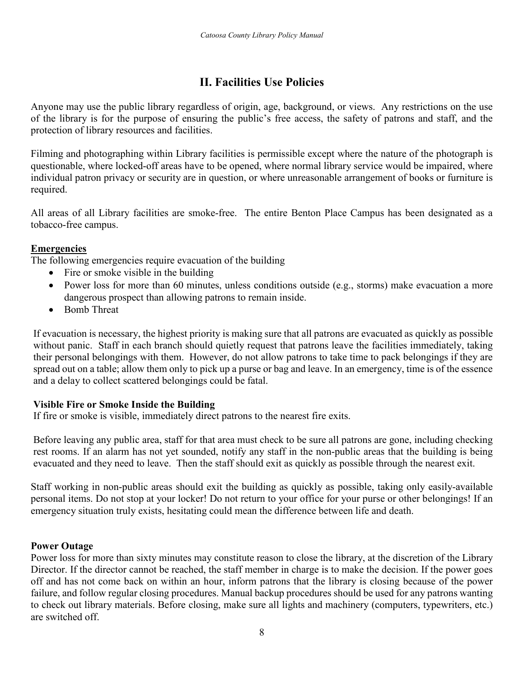## **II. Facilities Use Policies**

Anyone may use the public library regardless of origin, age, background, or views. Any restrictions on the use of the library is for the purpose of ensuring the public's free access, the safety of patrons and staff, and the protection of library resources and facilities.

Filming and photographing within Library facilities is permissible except where the nature of the photograph is questionable, where locked-off areas have to be opened, where normal library service would be impaired, where individual patron privacy or security are in question, or where unreasonable arrangement of books or furniture is required.

All areas of all Library facilities are smoke-free. The entire Benton Place Campus has been designated as a tobacco-free campus.

#### **Emergencies**

The following emergencies require evacuation of the building

- Fire or smoke visible in the building
- Power loss for more than 60 minutes, unless conditions outside (e.g., storms) make evacuation a more dangerous prospect than allowing patrons to remain inside.
- Bomb Threat

If evacuation is necessary, the highest priority is making sure that all patrons are evacuated as quickly as possible without panic. Staff in each branch should quietly request that patrons leave the facilities immediately, taking their personal belongings with them. However, do not allow patrons to take time to pack belongings if they are spread out on a table; allow them only to pick up a purse or bag and leave. In an emergency, time is of the essence and a delay to collect scattered belongings could be fatal.

## **Visible Fire or Smoke Inside the Building**

If fire or smoke is visible, immediately direct patrons to the nearest fire exits.

Before leaving any public area, staff for that area must check to be sure all patrons are gone, including checking rest rooms. If an alarm has not yet sounded, notify any staff in the non-public areas that the building is being evacuated and they need to leave. Then the staff should exit as quickly as possible through the nearest exit.

Staff working in non-public areas should exit the building as quickly as possible, taking only easily-available personal items. Do not stop at your locker! Do not return to your office for your purse or other belongings! If an emergency situation truly exists, hesitating could mean the difference between life and death.

#### **Power Outage**

Power loss for more than sixty minutes may constitute reason to close the library, at the discretion of the Library Director. If the director cannot be reached, the staff member in charge is to make the decision. If the power goes off and has not come back on within an hour, inform patrons that the library is closing because of the power failure, and follow regular closing procedures. Manual backup procedures should be used for any patrons wanting to check out library materials. Before closing, make sure all lights and machinery (computers, typewriters, etc.) are switched off.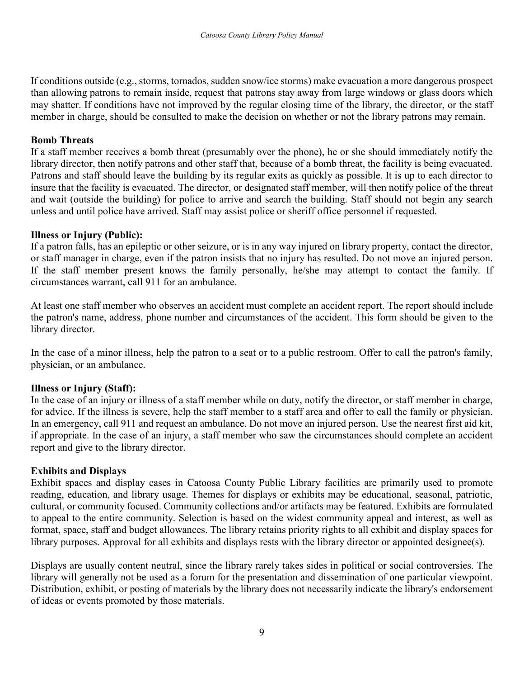If conditions outside (e.g., storms, tornados, sudden snow/ice storms) make evacuation a more dangerous prospect than allowing patrons to remain inside, request that patrons stay away from large windows or glass doors which may shatter. If conditions have not improved by the regular closing time of the library, the director, or the staff member in charge, should be consulted to make the decision on whether or not the library patrons may remain.

#### **Bomb Threats**

If a staff member receives a bomb threat (presumably over the phone), he or she should immediately notify the library director, then notify patrons and other staff that, because of a bomb threat, the facility is being evacuated. Patrons and staff should leave the building by its regular exits as quickly as possible. It is up to each director to insure that the facility is evacuated. The director, or designated staff member, will then notify police of the threat and wait (outside the building) for police to arrive and search the building. Staff should not begin any search unless and until police have arrived. Staff may assist police or sheriff office personnel if requested.

#### **Illness or Injury (Public):**

If a patron falls, has an epileptic or other seizure, or is in any way injured on library property, contact the director, or staff manager in charge, even if the patron insists that no injury has resulted. Do not move an injured person. If the staff member present knows the family personally, he/she may attempt to contact the family. If circumstances warrant, call 911 for an ambulance.

At least one staff member who observes an accident must complete an accident report. The report should include the patron's name, address, phone number and circumstances of the accident. This form should be given to the library director.

In the case of a minor illness, help the patron to a seat or to a public restroom. Offer to call the patron's family, physician, or an ambulance.

## **Illness or Injury (Staff):**

In the case of an injury or illness of a staff member while on duty, notify the director, or staff member in charge, for advice. If the illness is severe, help the staff member to a staff area and offer to call the family or physician. In an emergency, call 911 and request an ambulance. Do not move an injured person. Use the nearest first aid kit, if appropriate. In the case of an injury, a staff member who saw the circumstances should complete an accident report and give to the library director.

## **Exhibits and Displays**

Exhibit spaces and display cases in Catoosa County Public Library facilities are primarily used to promote reading, education, and library usage. Themes for displays or exhibits may be educational, seasonal, patriotic, cultural, or community focused. Community collections and/or artifacts may be featured. Exhibits are formulated to appeal to the entire community. Selection is based on the widest community appeal and interest, as well as format, space, staff and budget allowances. The library retains priority rights to all exhibit and display spaces for library purposes. Approval for all exhibits and displays rests with the library director or appointed designee(s).

Displays are usually content neutral, since the library rarely takes sides in political or social controversies. The library will generally not be used as a forum for the presentation and dissemination of one particular viewpoint. Distribution, exhibit, or posting of materials by the library does not necessarily indicate the library's endorsement of ideas or events promoted by those materials.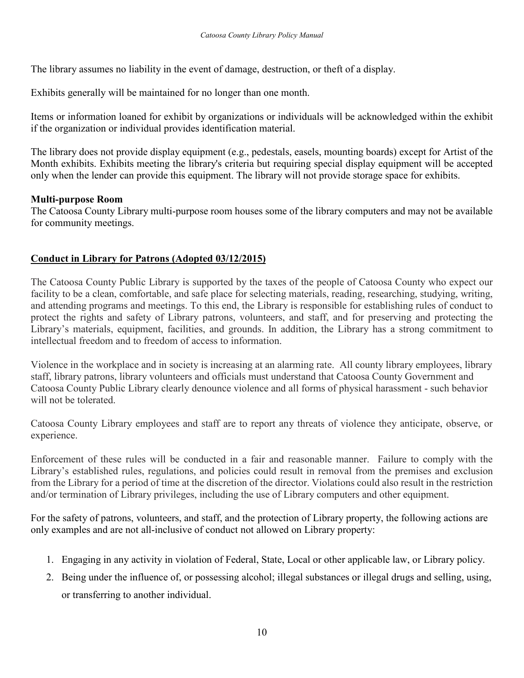The library assumes no liability in the event of damage, destruction, or theft of a display.

Exhibits generally will be maintained for no longer than one month.

Items or information loaned for exhibit by organizations or individuals will be acknowledged within the exhibit if the organization or individual provides identification material.

The library does not provide display equipment (e.g., pedestals, easels, mounting boards) except for Artist of the Month exhibits. Exhibits meeting the library's criteria but requiring special display equipment will be accepted only when the lender can provide this equipment. The library will not provide storage space for exhibits.

#### **Multi-purpose Room**

The Catoosa County Library multi-purpose room houses some of the library computers and may not be available for community meetings.

#### **Conduct in Library for Patrons (Adopted 03/12/2015)**

The Catoosa County Public Library is supported by the taxes of the people of Catoosa County who expect our facility to be a clean, comfortable, and safe place for selecting materials, reading, researching, studying, writing, and attending programs and meetings. To this end, the Library is responsible for establishing rules of conduct to protect the rights and safety of Library patrons, volunteers, and staff, and for preserving and protecting the Library's materials, equipment, facilities, and grounds. In addition, the Library has a strong commitment to intellectual freedom and to freedom of access to information.

Violence in the workplace and in society is increasing at an alarming rate. All county library employees, library staff, library patrons, library volunteers and officials must understand that Catoosa County Government and Catoosa County Public Library clearly denounce violence and all forms of physical harassment - such behavior will not be tolerated.

Catoosa County Library employees and staff are to report any threats of violence they anticipate, observe, or experience.

Enforcement of these rules will be conducted in a fair and reasonable manner. Failure to comply with the Library's established rules, regulations, and policies could result in removal from the premises and exclusion from the Library for a period of time at the discretion of the director. Violations could also result in the restriction and/or termination of Library privileges, including the use of Library computers and other equipment.

For the safety of patrons, volunteers, and staff, and the protection of Library property, the following actions are only examples and are not all-inclusive of conduct not allowed on Library property:

- 1. Engaging in any activity in violation of Federal, State, Local or other applicable law, or Library policy.
- 2. Being under the influence of, or possessing alcohol; illegal substances or illegal drugs and selling, using, or transferring to another individual.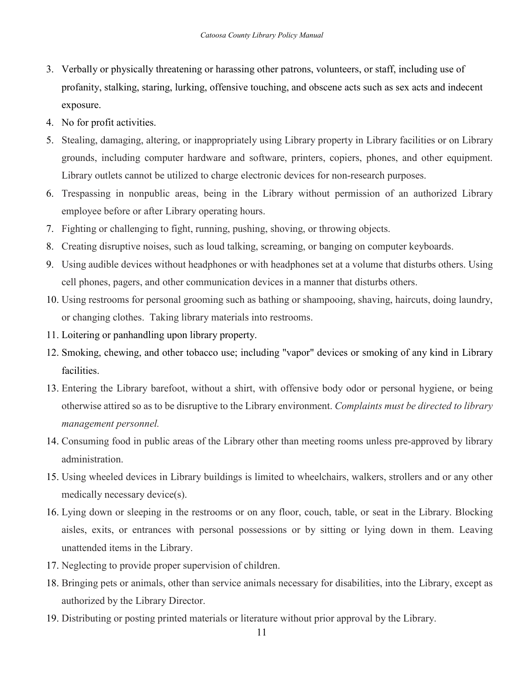- 3. Verbally or physically threatening or harassing other patrons, volunteers, or staff, including use of profanity, stalking, staring, lurking, offensive touching, and obscene acts such as sex acts and indecent exposure.
- 4. No for profit activities.
- 5. Stealing, damaging, altering, or inappropriately using Library property in Library facilities or on Library grounds, including computer hardware and software, printers, copiers, phones, and other equipment. Library outlets cannot be utilized to charge electronic devices for non-research purposes.
- 6. Trespassing in nonpublic areas, being in the Library without permission of an authorized Library employee before or after Library operating hours.
- 7. Fighting or challenging to fight, running, pushing, shoving, or throwing objects.
- 8. Creating disruptive noises, such as loud talking, screaming, or banging on computer keyboards.
- 9. Using audible devices without headphones or with headphones set at a volume that disturbs others. Using cell phones, pagers, and other communication devices in a manner that disturbs others.
- 10. Using restrooms for personal grooming such as bathing or shampooing, shaving, haircuts, doing laundry, or changing clothes. Taking library materials into restrooms.
- 11. Loitering or panhandling upon library property.
- 12. Smoking, chewing, and other tobacco use; including "vapor" devices or smoking of any kind in Library facilities.
- 13. Entering the Library barefoot, without a shirt, with offensive body odor or personal hygiene, or being otherwise attired so as to be disruptive to the Library environment. *Complaints must be directed to library management personnel.*
- 14. Consuming food in public areas of the Library other than meeting rooms unless pre-approved by library administration.
- 15. Using wheeled devices in Library buildings is limited to wheelchairs, walkers, strollers and or any other medically necessary device(s).
- 16. Lying down or sleeping in the restrooms or on any floor, couch, table, or seat in the Library. Blocking aisles, exits, or entrances with personal possessions or by sitting or lying down in them. Leaving unattended items in the Library.
- 17. Neglecting to provide proper supervision of children.
- 18. Bringing pets or animals, other than service animals necessary for disabilities, into the Library, except as authorized by the Library Director.
- 19. Distributing or posting printed materials or literature without prior approval by the Library.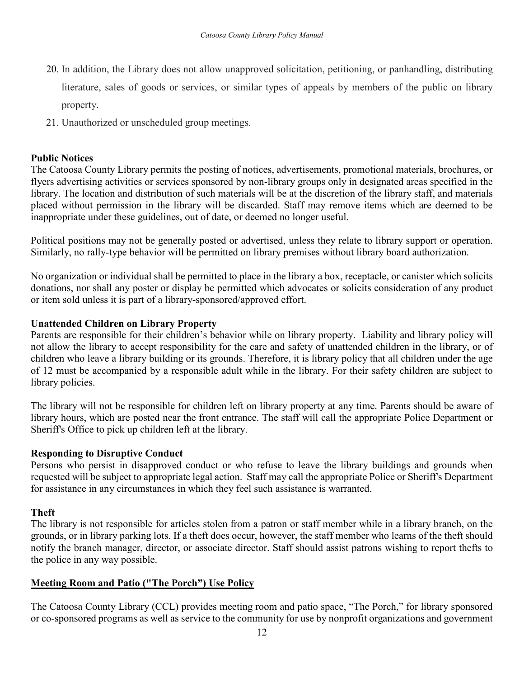- 20. In addition, the Library does not allow unapproved solicitation, petitioning, or panhandling, distributing literature, sales of goods or services, or similar types of appeals by members of the public on library property.
- 21. Unauthorized or unscheduled group meetings.

#### **Public Notices**

The Catoosa County Library permits the posting of notices, advertisements, promotional materials, brochures, or flyers advertising activities or services sponsored by non-library groups only in designated areas specified in the library. The location and distribution of such materials will be at the discretion of the library staff, and materials placed without permission in the library will be discarded. Staff may remove items which are deemed to be inappropriate under these guidelines, out of date, or deemed no longer useful.

Political positions may not be generally posted or advertised, unless they relate to library support or operation. Similarly, no rally-type behavior will be permitted on library premises without library board authorization.

No organization or individual shall be permitted to place in the library a box, receptacle, or canister which solicits donations, nor shall any poster or display be permitted which advocates or solicits consideration of any product or item sold unless it is part of a library-sponsored/approved effort.

#### **Unattended Children on Library Property**

Parents are responsible for their children's behavior while on library property. Liability and library policy will not allow the library to accept responsibility for the care and safety of unattended children in the library, or of children who leave a library building or its grounds. Therefore, it is library policy that all children under the age of 12 must be accompanied by a responsible adult while in the library. For their safety children are subject to library policies.

The library will not be responsible for children left on library property at any time. Parents should be aware of library hours, which are posted near the front entrance. The staff will call the appropriate Police Department or Sheriff's Office to pick up children left at the library.

#### **Responding to Disruptive Conduct**

Persons who persist in disapproved conduct or who refuse to leave the library buildings and grounds when requested will be subject to appropriate legal action. Staff may call the appropriate Police or Sheriff's Department for assistance in any circumstances in which they feel such assistance is warranted.

#### **Theft**

The library is not responsible for articles stolen from a patron or staff member while in a library branch, on the grounds, or in library parking lots. If a theft does occur, however, the staff member who learns of the theft should notify the branch manager, director, or associate director. Staff should assist patrons wishing to report thefts to the police in any way possible.

#### **Meeting Room and Patio ("The Porch") Use Policy**

The Catoosa County Library (CCL) provides meeting room and patio space, "The Porch," for library sponsored or co-sponsored programs as well as service to the community for use by nonprofit organizations and government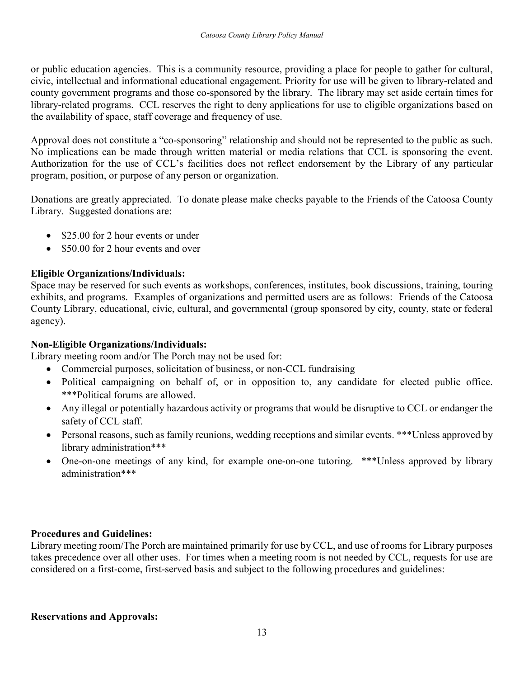or public education agencies. This is a community resource, providing a place for people to gather for cultural, civic, intellectual and informational educational engagement. Priority for use will be given to library-related and county government programs and those co-sponsored by the library. The library may set aside certain times for library-related programs. CCL reserves the right to deny applications for use to eligible organizations based on the availability of space, staff coverage and frequency of use.

Approval does not constitute a "co-sponsoring" relationship and should not be represented to the public as such. No implications can be made through written material or media relations that CCL is sponsoring the event. Authorization for the use of CCL's facilities does not reflect endorsement by the Library of any particular program, position, or purpose of any person or organization.

Donations are greatly appreciated. To donate please make checks payable to the Friends of the Catoosa County Library. Suggested donations are:

- \$25.00 for 2 hour events or under
- \$50.00 for 2 hour events and over

## **Eligible Organizations/Individuals:**

Space may be reserved for such events as workshops, conferences, institutes, book discussions, training, touring exhibits, and programs. Examples of organizations and permitted users are as follows: Friends of the Catoosa County Library, educational, civic, cultural, and governmental (group sponsored by city, county, state or federal agency).

## **Non-Eligible Organizations/Individuals:**

Library meeting room and/or The Porch may not be used for:

- Commercial purposes, solicitation of business, or non-CCL fundraising
- Political campaigning on behalf of, or in opposition to, any candidate for elected public office. \*\*\*Political forums are allowed.
- Any illegal or potentially hazardous activity or programs that would be disruptive to CCL or endanger the safety of CCL staff.
- Personal reasons, such as family reunions, wedding receptions and similar events. \*\*\*Unless approved by library administration\*\*\*
- One-on-one meetings of any kind, for example one-on-one tutoring. \*\*\*Unless approved by library administration\*\*\*

## **Procedures and Guidelines:**

Library meeting room/The Porch are maintained primarily for use by CCL, and use of rooms for Library purposes takes precedence over all other uses. For times when a meeting room is not needed by CCL, requests for use are considered on a first-come, first-served basis and subject to the following procedures and guidelines:

#### **Reservations and Approvals:**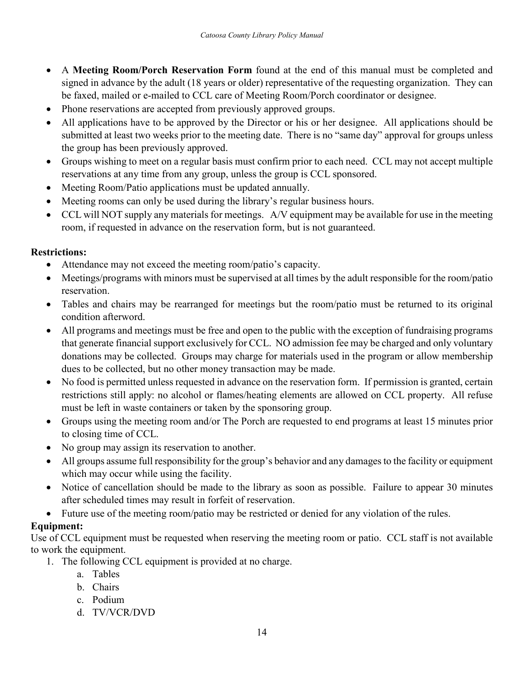- A **Meeting Room/Porch Reservation Form** found at the end of this manual must be completed and signed in advance by the adult (18 years or older) representative of the requesting organization. They can be faxed, mailed or e-mailed to CCL care of Meeting Room/Porch coordinator or designee.
- Phone reservations are accepted from previously approved groups.
- All applications have to be approved by the Director or his or her designee. All applications should be submitted at least two weeks prior to the meeting date. There is no "same day" approval for groups unless the group has been previously approved.
- Groups wishing to meet on a regular basis must confirm prior to each need. CCL may not accept multiple reservations at any time from any group, unless the group is CCL sponsored.
- Meeting Room/Patio applications must be updated annually.
- Meeting rooms can only be used during the library's regular business hours.
- CCL will NOT supply any materials for meetings. A/V equipment may be available for use in the meeting room, if requested in advance on the reservation form, but is not guaranteed.

## **Restrictions:**

- Attendance may not exceed the meeting room/patio's capacity.
- Meetings/programs with minors must be supervised at all times by the adult responsible for the room/patio reservation.
- Tables and chairs may be rearranged for meetings but the room/patio must be returned to its original condition afterword.
- All programs and meetings must be free and open to the public with the exception of fundraising programs that generate financial support exclusively for CCL. NO admission fee may be charged and only voluntary donations may be collected. Groups may charge for materials used in the program or allow membership dues to be collected, but no other money transaction may be made.
- No food is permitted unless requested in advance on the reservation form. If permission is granted, certain restrictions still apply: no alcohol or flames/heating elements are allowed on CCL property. All refuse must be left in waste containers or taken by the sponsoring group.
- Groups using the meeting room and/or The Porch are requested to end programs at least 15 minutes prior to closing time of CCL.
- No group may assign its reservation to another.
- All groups assume full responsibility for the group's behavior and any damages to the facility or equipment which may occur while using the facility.
- Notice of cancellation should be made to the library as soon as possible. Failure to appear 30 minutes after scheduled times may result in forfeit of reservation.
- Future use of the meeting room/patio may be restricted or denied for any violation of the rules.

## **Equipment:**

Use of CCL equipment must be requested when reserving the meeting room or patio. CCL staff is not available to work the equipment.

- 1. The following CCL equipment is provided at no charge.
	- a. Tables
	- b. Chairs
	- c. Podium
	- d. TV/VCR/DVD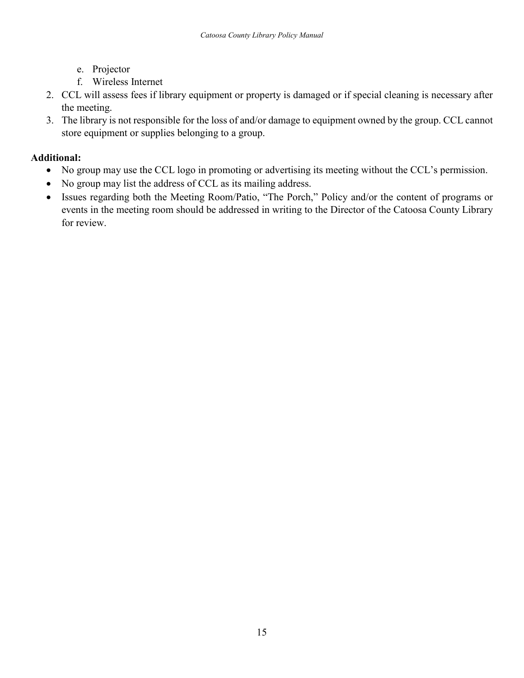- e. Projector
- f. Wireless Internet
- 2. CCL will assess fees if library equipment or property is damaged or if special cleaning is necessary after the meeting.
- 3. The library is not responsible for the loss of and/or damage to equipment owned by the group. CCL cannot store equipment or supplies belonging to a group.

## **Additional:**

- No group may use the CCL logo in promoting or advertising its meeting without the CCL's permission.
- No group may list the address of CCL as its mailing address.
- Issues regarding both the Meeting Room/Patio, "The Porch," Policy and/or the content of programs or events in the meeting room should be addressed in writing to the Director of the Catoosa County Library for review.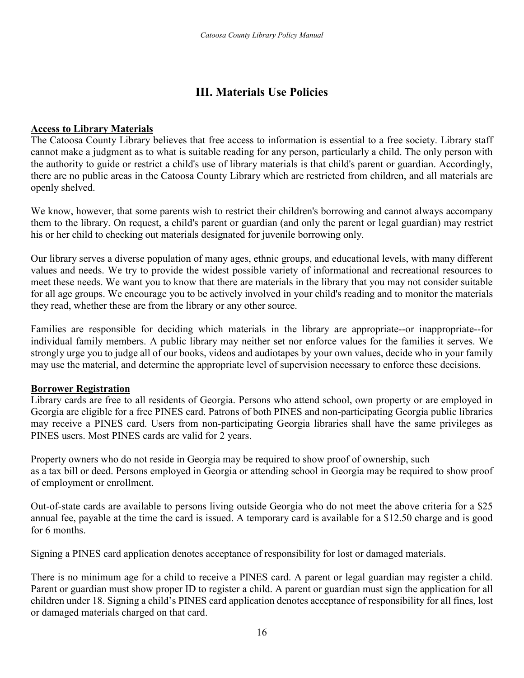## **III. Materials Use Policies**

#### **Access to Library Materials**

The Catoosa County Library believes that free access to information is essential to a free society. Library staff cannot make a judgment as to what is suitable reading for any person, particularly a child. The only person with the authority to guide or restrict a child's use of library materials is that child's parent or guardian. Accordingly, there are no public areas in the Catoosa County Library which are restricted from children, and all materials are openly shelved.

We know, however, that some parents wish to restrict their children's borrowing and cannot always accompany them to the library. On request, a child's parent or guardian (and only the parent or legal guardian) may restrict his or her child to checking out materials designated for juvenile borrowing only.

Our library serves a diverse population of many ages, ethnic groups, and educational levels, with many different values and needs. We try to provide the widest possible variety of informational and recreational resources to meet these needs. We want you to know that there are materials in the library that you may not consider suitable for all age groups. We encourage you to be actively involved in your child's reading and to monitor the materials they read, whether these are from the library or any other source.

Families are responsible for deciding which materials in the library are appropriate--or inappropriate--for individual family members. A public library may neither set nor enforce values for the families it serves. We strongly urge you to judge all of our books, videos and audiotapes by your own values, decide who in your family may use the material, and determine the appropriate level of supervision necessary to enforce these decisions.

#### **Borrower Registration**

Library cards are free to all residents of Georgia. Persons who attend school, own property or are employed in Georgia are eligible for a free PINES card. Patrons of both PINES and non-participating Georgia public libraries may receive a PINES card. Users from non-participating Georgia libraries shall have the same privileges as PINES users. Most PINES cards are valid for 2 years.

Property owners who do not reside in Georgia may be required to show proof of ownership, such as a tax bill or deed. Persons employed in Georgia or attending school in Georgia may be required to show proof of employment or enrollment.

Out-of-state cards are available to persons living outside Georgia who do not meet the above criteria for a \$25 annual fee, payable at the time the card is issued. A temporary card is available for a \$12.50 charge and is good for 6 months.

Signing a PINES card application denotes acceptance of responsibility for lost or damaged materials.

There is no minimum age for a child to receive a PINES card. A parent or legal guardian may register a child. Parent or guardian must show proper ID to register a child. A parent or guardian must sign the application for all children under 18. Signing a child's PINES card application denotes acceptance of responsibility for all fines, lost or damaged materials charged on that card.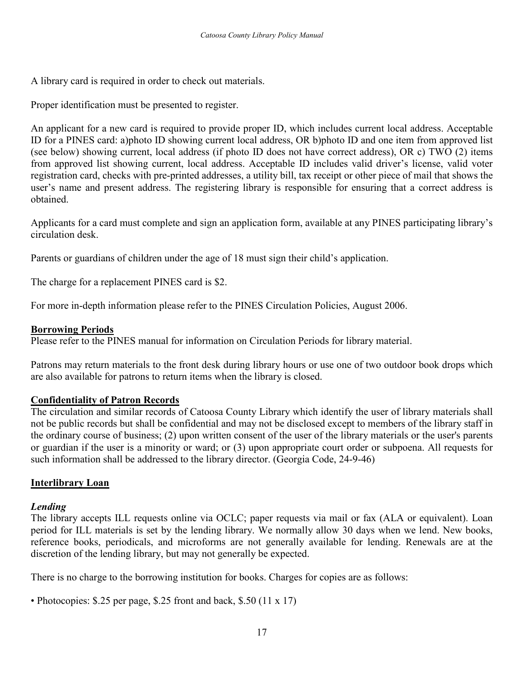A library card is required in order to check out materials.

Proper identification must be presented to register.

An applicant for a new card is required to provide proper ID, which includes current local address. Acceptable ID for a PINES card: a)photo ID showing current local address, OR b)photo ID and one item from approved list (see below) showing current, local address (if photo ID does not have correct address), OR c) TWO (2) items from approved list showing current, local address. Acceptable ID includes valid driver's license, valid voter registration card, checks with pre-printed addresses, a utility bill, tax receipt or other piece of mail that shows the user's name and present address. The registering library is responsible for ensuring that a correct address is obtained.

Applicants for a card must complete and sign an application form, available at any PINES participating library's circulation desk.

Parents or guardians of children under the age of 18 must sign their child's application.

The charge for a replacement PINES card is \$2.

For more in-depth information please refer to the PINES Circulation Policies, August 2006.

#### **Borrowing Periods**

Please refer to the PINES manual for information on Circulation Periods for library material.

Patrons may return materials to the front desk during library hours or use one of two outdoor book drops which are also available for patrons to return items when the library is closed.

## **Confidentiality of Patron Records**

The circulation and similar records of Catoosa County Library which identify the user of library materials shall not be public records but shall be confidential and may not be disclosed except to members of the library staff in the ordinary course of business; (2) upon written consent of the user of the library materials or the user's parents or guardian if the user is a minority or ward; or (3) upon appropriate court order or subpoena. All requests for such information shall be addressed to the library director. (Georgia Code, 24-9-46)

## **Interlibrary Loan**

## *Lending*

The library accepts ILL requests online via OCLC; paper requests via mail or fax (ALA or equivalent). Loan period for ILL materials is set by the lending library. We normally allow 30 days when we lend. New books, reference books, periodicals, and microforms are not generally available for lending. Renewals are at the discretion of the lending library, but may not generally be expected.

There is no charge to the borrowing institution for books. Charges for copies are as follows:

• Photocopies: \$.25 per page, \$.25 front and back, \$.50 (11 x 17)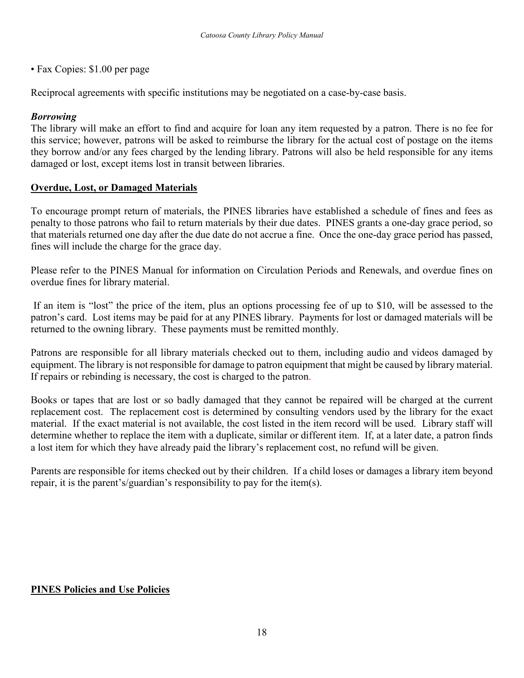• Fax Copies: \$1.00 per page

Reciprocal agreements with specific institutions may be negotiated on a case-by-case basis.

#### *Borrowing*

The library will make an effort to find and acquire for loan any item requested by a patron. There is no fee for this service; however, patrons will be asked to reimburse the library for the actual cost of postage on the items they borrow and/or any fees charged by the lending library. Patrons will also be held responsible for any items damaged or lost, except items lost in transit between libraries.

#### **Overdue, Lost, or Damaged Materials**

To encourage prompt return of materials, the PINES libraries have established a schedule of fines and fees as penalty to those patrons who fail to return materials by their due dates. PINES grants a one-day grace period, so that materials returned one day after the due date do not accrue a fine. Once the one-day grace period has passed, fines will include the charge for the grace day.

Please refer to the PINES Manual for information on Circulation Periods and Renewals, and overdue fines on overdue fines for library material.

If an item is "lost" the price of the item, plus an options processing fee of up to \$10, will be assessed to the patron's card. Lost items may be paid for at any PINES library. Payments for lost or damaged materials will be returned to the owning library. These payments must be remitted monthly.

Patrons are responsible for all library materials checked out to them, including audio and videos damaged by equipment. The library is not responsible for damage to patron equipment that might be caused by library material. If repairs or rebinding is necessary, the cost is charged to the patron.

Books or tapes that are lost or so badly damaged that they cannot be repaired will be charged at the current replacement cost. The replacement cost is determined by consulting vendors used by the library for the exact material. If the exact material is not available, the cost listed in the item record will be used. Library staff will determine whether to replace the item with a duplicate, similar or different item. If, at a later date, a patron finds a lost item for which they have already paid the library's replacement cost, no refund will be given.

Parents are responsible for items checked out by their children. If a child loses or damages a library item beyond repair, it is the parent's/guardian's responsibility to pay for the item(s).

#### **PINES Policies and Use Policies**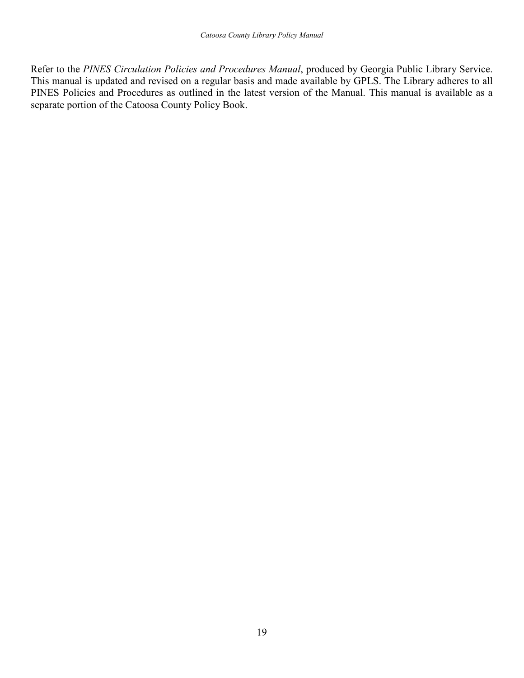Refer to the *PINES Circulation Policies and Procedures Manual*, produced by Georgia Public Library Service. This manual is updated and revised on a regular basis and made available by GPLS. The Library adheres to all PINES Policies and Procedures as outlined in the latest version of the Manual. This manual is available as a separate portion of the Catoosa County Policy Book.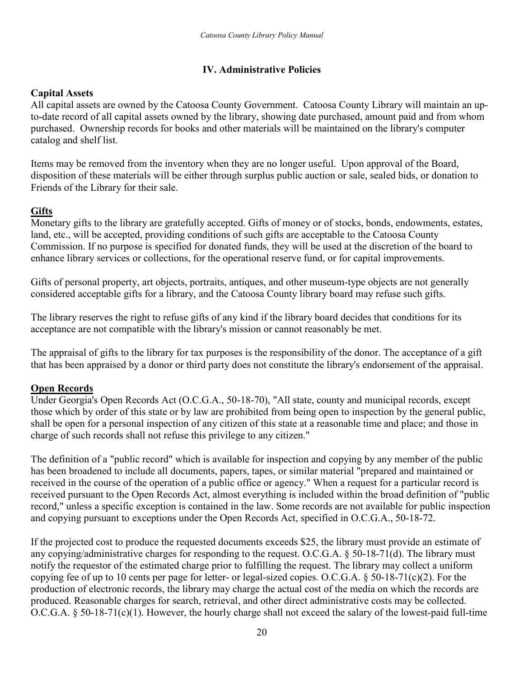## **IV. Administrative Policies**

## **Capital Assets**

All capital assets are owned by the Catoosa County Government. Catoosa County Library will maintain an upto-date record of all capital assets owned by the library, showing date purchased, amount paid and from whom purchased. Ownership records for books and other materials will be maintained on the library's computer catalog and shelf list.

Items may be removed from the inventory when they are no longer useful. Upon approval of the Board, disposition of these materials will be either through surplus public auction or sale, sealed bids, or donation to Friends of the Library for their sale.

## **Gifts**

Monetary gifts to the library are gratefully accepted. Gifts of money or of stocks, bonds, endowments, estates, land, etc., will be accepted, providing conditions of such gifts are acceptable to the Catoosa County Commission. If no purpose is specified for donated funds, they will be used at the discretion of the board to enhance library services or collections, for the operational reserve fund, or for capital improvements.

Gifts of personal property, art objects, portraits, antiques, and other museum-type objects are not generally considered acceptable gifts for a library, and the Catoosa County library board may refuse such gifts.

The library reserves the right to refuse gifts of any kind if the library board decides that conditions for its acceptance are not compatible with the library's mission or cannot reasonably be met.

The appraisal of gifts to the library for tax purposes is the responsibility of the donor. The acceptance of a gift that has been appraised by a donor or third party does not constitute the library's endorsement of the appraisal.

## **Open Records**

Under Georgia's Open Records Act (O.C.G.A., 50-18-70), "All state, county and municipal records, except those which by order of this state or by law are prohibited from being open to inspection by the general public, shall be open for a personal inspection of any citizen of this state at a reasonable time and place; and those in charge of such records shall not refuse this privilege to any citizen."

The definition of a "public record" which is available for inspection and copying by any member of the public has been broadened to include all documents, papers, tapes, or similar material "prepared and maintained or received in the course of the operation of a public office or agency." When a request for a particular record is received pursuant to the Open Records Act, almost everything is included within the broad definition of "public record," unless a specific exception is contained in the law. Some records are not available for public inspection and copying pursuant to exceptions under the Open Records Act, specified in O.C.G.A., 50-18-72.

If the projected cost to produce the requested documents exceeds \$25, the library must provide an estimate of any copying/administrative charges for responding to the request. O.C.G.A. § 50-18-71(d). The library must notify the requestor of the estimated charge prior to fulfilling the request. The library may collect a uniform copying fee of up to 10 cents per page for letter- or legal-sized copies. O.C.G.A. § 50-18-71(c)(2). For the production of electronic records, the library may charge the actual cost of the media on which the records are produced. Reasonable charges for search, retrieval, and other direct administrative costs may be collected. O.C.G.A. § 50-18-71(c)(1). However, the hourly charge shall not exceed the salary of the lowest-paid full-time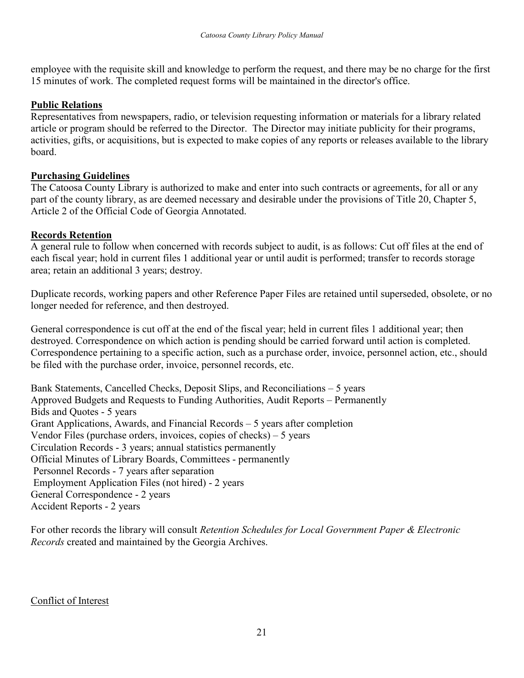employee with the requisite skill and knowledge to perform the request, and there may be no charge for the first 15 minutes of work. The completed request forms will be maintained in the director's office.

## **Public Relations**

Representatives from newspapers, radio, or television requesting information or materials for a library related article or program should be referred to the Director. The Director may initiate publicity for their programs, activities, gifts, or acquisitions, but is expected to make copies of any reports or releases available to the library board.

## **Purchasing Guidelines**

The Catoosa County Library is authorized to make and enter into such contracts or agreements, for all or any part of the county library, as are deemed necessary and desirable under the provisions of Title 20, Chapter 5, Article 2 of the Official Code of Georgia Annotated.

## **Records Retention**

A general rule to follow when concerned with records subject to audit, is as follows: Cut off files at the end of each fiscal year; hold in current files 1 additional year or until audit is performed; transfer to records storage area; retain an additional 3 years; destroy.

Duplicate records, working papers and other Reference Paper Files are retained until superseded, obsolete, or no longer needed for reference, and then destroyed.

General correspondence is cut off at the end of the fiscal year; held in current files 1 additional year; then destroyed. Correspondence on which action is pending should be carried forward until action is completed. Correspondence pertaining to a specific action, such as a purchase order, invoice, personnel action, etc., should be filed with the purchase order, invoice, personnel records, etc.

Bank Statements, Cancelled Checks, Deposit Slips, and Reconciliations – 5 years Approved Budgets and Requests to Funding Authorities, Audit Reports – Permanently Bids and Quotes - 5 years Grant Applications, Awards, and Financial Records – 5 years after completion Vendor Files (purchase orders, invoices, copies of checks) – 5 years Circulation Records - 3 years; annual statistics permanently Official Minutes of Library Boards, Committees - permanently Personnel Records - 7 years after separation Employment Application Files (not hired) - 2 years General Correspondence - 2 years Accident Reports - 2 years

For other records the library will consult *Retention Schedules for Local Government Paper & Electronic Records* created and maintained by the Georgia Archives.

## Conflict of Interest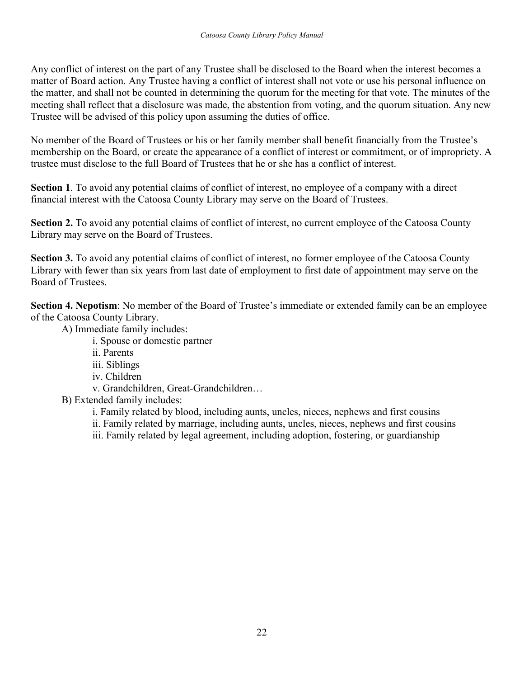Any conflict of interest on the part of any Trustee shall be disclosed to the Board when the interest becomes a matter of Board action. Any Trustee having a conflict of interest shall not vote or use his personal influence on the matter, and shall not be counted in determining the quorum for the meeting for that vote. The minutes of the meeting shall reflect that a disclosure was made, the abstention from voting, and the quorum situation. Any new Trustee will be advised of this policy upon assuming the duties of office.

No member of the Board of Trustees or his or her family member shall benefit financially from the Trustee's membership on the Board, or create the appearance of a conflict of interest or commitment, or of impropriety. A trustee must disclose to the full Board of Trustees that he or she has a conflict of interest.

**Section 1**. To avoid any potential claims of conflict of interest, no employee of a company with a direct financial interest with the Catoosa County Library may serve on the Board of Trustees.

**Section 2.** To avoid any potential claims of conflict of interest, no current employee of the Catoosa County Library may serve on the Board of Trustees.

**Section 3.** To avoid any potential claims of conflict of interest, no former employee of the Catoosa County Library with fewer than six years from last date of employment to first date of appointment may serve on the Board of Trustees.

**Section 4. Nepotism**: No member of the Board of Trustee's immediate or extended family can be an employee of the Catoosa County Library.

A) Immediate family includes:

i. Spouse or domestic partner

ii. Parents

iii. Siblings

iv. Children

v. Grandchildren, Great-Grandchildren…

B) Extended family includes:

i. Family related by blood, including aunts, uncles, nieces, nephews and first cousins

ii. Family related by marriage, including aunts, uncles, nieces, nephews and first cousins

iii. Family related by legal agreement, including adoption, fostering, or guardianship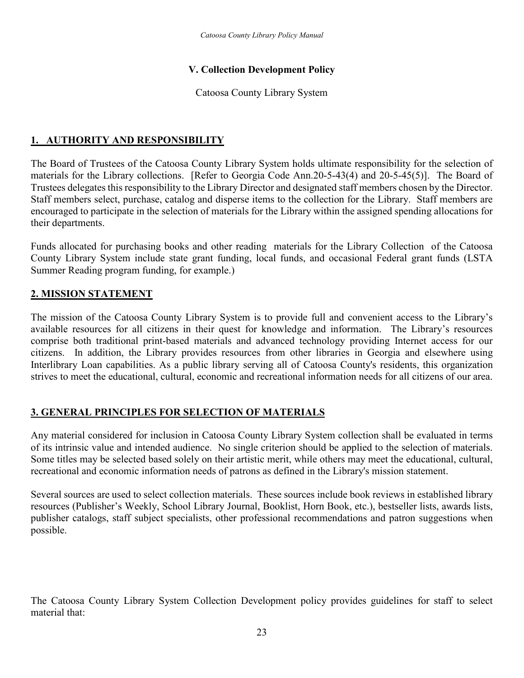## **V. Collection Development Policy**

#### Catoosa County Library System

## **1. AUTHORITY AND RESPONSIBILITY**

The Board of Trustees of the Catoosa County Library System holds ultimate responsibility for the selection of materials for the Library collections. [Refer to Georgia Code Ann.20-5-43(4) and 20-5-45(5)]. The Board of Trustees delegates this responsibility to the Library Director and designated staff members chosen by the Director. Staff members select, purchase, catalog and disperse items to the collection for the Library. Staff members are encouraged to participate in the selection of materials for the Library within the assigned spending allocations for their departments.

Funds allocated for purchasing books and other reading materials for the Library Collection of the Catoosa County Library System include state grant funding, local funds, and occasional Federal grant funds (LSTA Summer Reading program funding, for example.)

## **2. MISSION STATEMENT**

The mission of the Catoosa County Library System is to provide full and convenient access to the Library's available resources for all citizens in their quest for knowledge and information. The Library's resources comprise both traditional print-based materials and advanced technology providing Internet access for our citizens. In addition, the Library provides resources from other libraries in Georgia and elsewhere using Interlibrary Loan capabilities. As a public library serving all of Catoosa County's residents, this organization strives to meet the educational, cultural, economic and recreational information needs for all citizens of our area.

## **3. GENERAL PRINCIPLES FOR SELECTION OF MATERIALS**

Any material considered for inclusion in Catoosa County Library System collection shall be evaluated in terms of its intrinsic value and intended audience. No single criterion should be applied to the selection of materials. Some titles may be selected based solely on their artistic merit, while others may meet the educational, cultural, recreational and economic information needs of patrons as defined in the Library's mission statement.

Several sources are used to select collection materials. These sources include book reviews in established library resources (Publisher's Weekly, School Library Journal, Booklist, Horn Book, etc.), bestseller lists, awards lists, publisher catalogs, staff subject specialists, other professional recommendations and patron suggestions when possible.

The Catoosa County Library System Collection Development policy provides guidelines for staff to select material that: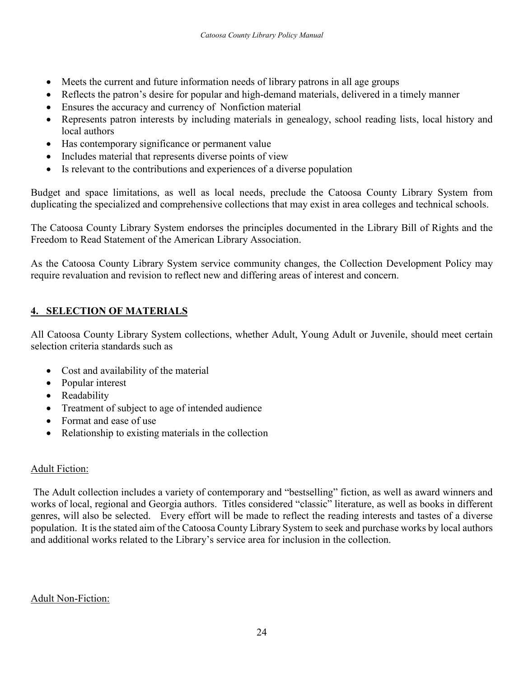- Meets the current and future information needs of library patrons in all age groups
- Reflects the patron's desire for popular and high-demand materials, delivered in a timely manner
- Ensures the accuracy and currency of Nonfiction material
- Represents patron interests by including materials in genealogy, school reading lists, local history and local authors
- Has contemporary significance or permanent value
- Includes material that represents diverse points of view
- Is relevant to the contributions and experiences of a diverse population

Budget and space limitations, as well as local needs, preclude the Catoosa County Library System from duplicating the specialized and comprehensive collections that may exist in area colleges and technical schools.

The Catoosa County Library System endorses the principles documented in the Library Bill of Rights and the Freedom to Read Statement of the American Library Association.

As the Catoosa County Library System service community changes, the Collection Development Policy may require revaluation and revision to reflect new and differing areas of interest and concern.

## **4. SELECTION OF MATERIALS**

All Catoosa County Library System collections, whether Adult, Young Adult or Juvenile, should meet certain selection criteria standards such as

- Cost and availability of the material
- Popular interest
- Readability
- Treatment of subject to age of intended audience
- Format and ease of use
- Relationship to existing materials in the collection

#### Adult Fiction:

The Adult collection includes a variety of contemporary and "bestselling" fiction, as well as award winners and works of local, regional and Georgia authors. Titles considered "classic" literature, as well as books in different genres, will also be selected. Every effort will be made to reflect the reading interests and tastes of a diverse population. It is the stated aim of the Catoosa County Library System to seek and purchase works by local authors and additional works related to the Library's service area for inclusion in the collection.

## Adult Non-Fiction: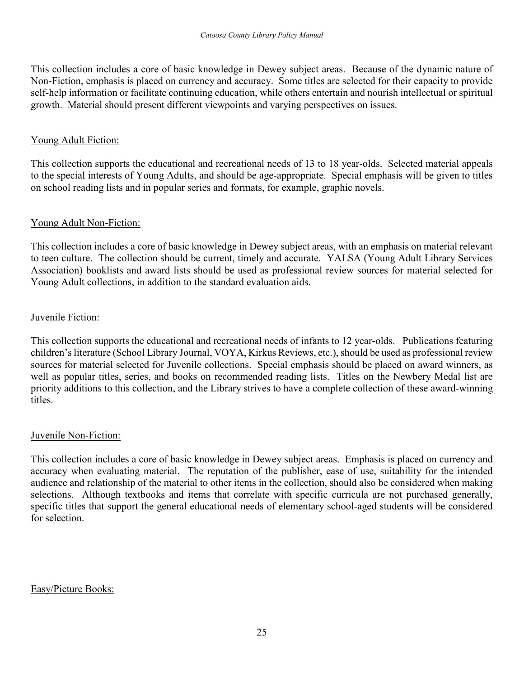This collection includes a core of basic knowledge in Dewey subject areas. Because of the dynamic nature of Non-Fiction, emphasis is placed on currency and accuracy. Some titles are selected for their capacity to provide self-help information or facilitate continuing education, while others entertain and nourish intellectual or spiritual growth. Material should present different viewpoints and varying perspectives on issues.

#### Young Adult Fiction:

This collection supports the educational and recreational needs of 13 to 18 year-olds. Selected material appeals to the special interests of Young Adults, and should be age-appropriate. Special emphasis will be given to titles on school reading lists and in popular series and formats, for example, graphic novels.

#### Young Adult Non-Fiction:

This collection includes a core of basic knowledge in Dewey subject areas, with an emphasis on material relevant to teen culture. The collection should be current, timely and accurate. YALSA (Young Adult Library Services Association) booklists and award lists should be used as professional review sources for material selected for Young Adult collections, in addition to the standard evaluation aids.

#### Juvenile Fiction:

This collection supports the educational and recreational needs of infants to 12 year-olds. Publications featuring children's literature (School Library Journal, VOYA, Kirkus Reviews, etc.), should be used as professional review sources for material selected for Juvenile collections. Special emphasis should be placed on award winners, as well as popular titles, series, and books on recommended reading lists. Titles on the Newbery Medal list are priority additions to this collection, and the Library strives to have a complete collection of these award-winning titles.

#### Juvenile Non-Fiction:

This collection includes a core of basic knowledge in Dewey subject areas. Emphasis is placed on currency and accuracy when evaluating material. The reputation of the publisher, ease of use, suitability for the intended audience and relationship of the material to other items in the collection, should also be considered when making selections. Although textbooks and items that correlate with specific curricula are not purchased generally, specific titles that support the general educational needs of elementary school-aged students will be considered for selection.

Easy/Picture Books: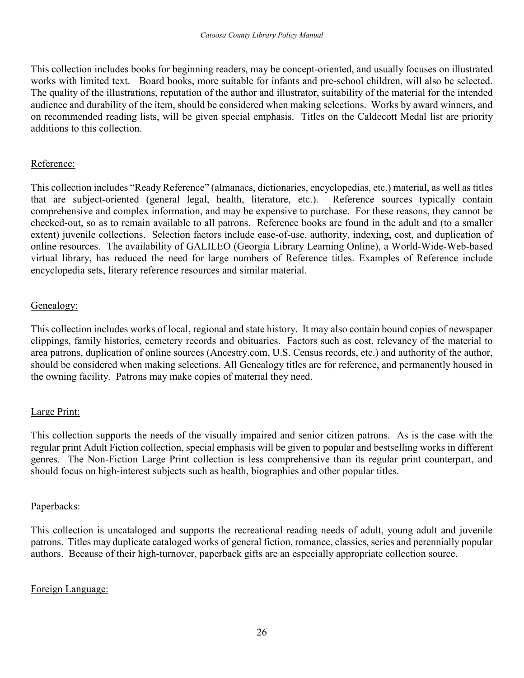This collection includes books for beginning readers, may be concept-oriented, and usually focuses on illustrated works with limited text. Board books, more suitable for infants and pre-school children, will also be selected. The quality of the illustrations, reputation of the author and illustrator, suitability of the material for the intended audience and durability of the item, should be considered when making selections. Works by award winners, and on recommended reading lists, will be given special emphasis. Titles on the Caldecott Medal list are priority additions to this collection.

#### Reference:

This collection includes "Ready Reference" (almanacs, dictionaries, encyclopedias, etc.) material, as well as titles that are subject-oriented (general legal, health, literature, etc.). Reference sources typically contain comprehensive and complex information, and may be expensive to purchase. For these reasons, they cannot be checked-out, so as to remain available to all patrons. Reference books are found in the adult and (to a smaller extent) juvenile collections. Selection factors include ease-of-use, authority, indexing, cost, and duplication of online resources. The availability of GALILEO (Georgia Library Learning Online), a World-Wide-Web-based virtual library, has reduced the need for large numbers of Reference titles. Examples of Reference include encyclopedia sets, literary reference resources and similar material.

#### Genealogy:

This collection includes works of local, regional and state history. It may also contain bound copies of newspaper clippings, family histories, cemetery records and obituaries. Factors such as cost, relevancy of the material to area patrons, duplication of online sources (Ancestry.com, U.S. Census records, etc.) and authority of the author, should be considered when making selections. All Genealogy titles are for reference, and permanently housed in the owning facility. Patrons may make copies of material they need.

## Large Print:

This collection supports the needs of the visually impaired and senior citizen patrons. As is the case with the regular print Adult Fiction collection, special emphasis will be given to popular and bestselling works in different genres. The Non-Fiction Large Print collection is less comprehensive than its regular print counterpart, and should focus on high-interest subjects such as health, biographies and other popular titles.

#### Paperbacks:

This collection is uncataloged and supports the recreational reading needs of adult, young adult and juvenile patrons. Titles may duplicate cataloged works of general fiction, romance, classics, series and perennially popular authors. Because of their high-turnover, paperback gifts are an especially appropriate collection source.

#### Foreign Language: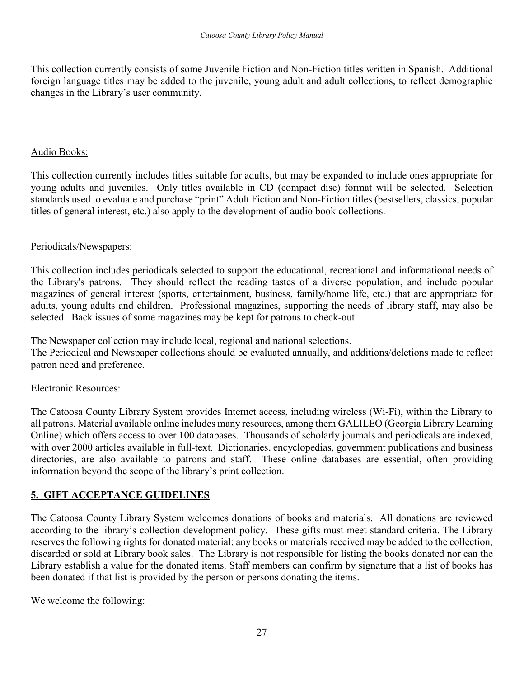This collection currently consists of some Juvenile Fiction and Non-Fiction titles written in Spanish. Additional foreign language titles may be added to the juvenile, young adult and adult collections, to reflect demographic changes in the Library's user community.

#### Audio Books:

This collection currently includes titles suitable for adults, but may be expanded to include ones appropriate for young adults and juveniles. Only titles available in CD (compact disc) format will be selected. Selection standards used to evaluate and purchase "print" Adult Fiction and Non-Fiction titles (bestsellers, classics, popular titles of general interest, etc.) also apply to the development of audio book collections.

#### Periodicals/Newspapers:

This collection includes periodicals selected to support the educational, recreational and informational needs of the Library's patrons. They should reflect the reading tastes of a diverse population, and include popular magazines of general interest (sports, entertainment, business, family/home life, etc.) that are appropriate for adults, young adults and children. Professional magazines, supporting the needs of library staff, may also be selected. Back issues of some magazines may be kept for patrons to check-out.

The Newspaper collection may include local, regional and national selections. The Periodical and Newspaper collections should be evaluated annually, and additions/deletions made to reflect patron need and preference.

## Electronic Resources:

The Catoosa County Library System provides Internet access, including wireless (Wi-Fi), within the Library to all patrons. Material available online includes many resources, among them GALILEO (Georgia Library Learning Online) which offers access to over 100 databases. Thousands of scholarly journals and periodicals are indexed, with over 2000 articles available in full-text. Dictionaries, encyclopedias, government publications and business directories, are also available to patrons and staff. These online databases are essential, often providing information beyond the scope of the library's print collection.

## **5. GIFT ACCEPTANCE GUIDELINES**

The Catoosa County Library System welcomes donations of books and materials. All donations are reviewed according to the library's collection development policy. These gifts must meet standard criteria. The Library reserves the following rights for donated material: any books or materials received may be added to the collection, discarded or sold at Library book sales. The Library is not responsible for listing the books donated nor can the Library establish a value for the donated items. Staff members can confirm by signature that a list of books has been donated if that list is provided by the person or persons donating the items.

We welcome the following: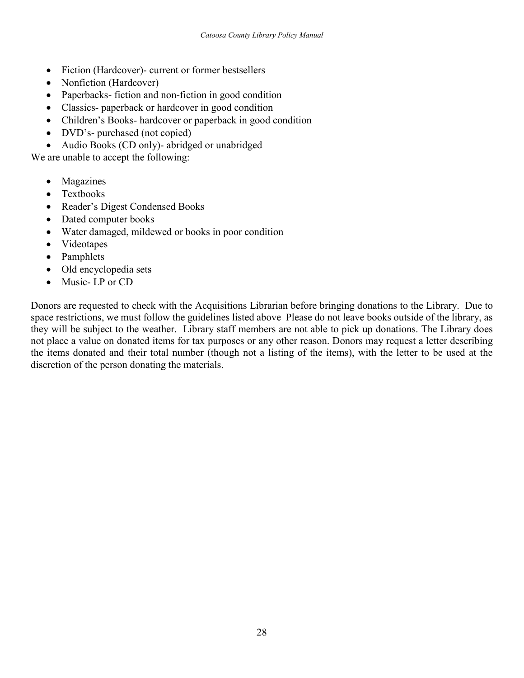- Fiction (Hardcover)- current or former bestsellers
- Nonfiction (Hardcover)
- Paperbacks- fiction and non-fiction in good condition
- Classics- paperback or hardcover in good condition
- Children's Books- hardcover or paperback in good condition
- DVD's- purchased (not copied)
- Audio Books (CD only)- abridged or unabridged

We are unable to accept the following:

- Magazines
- Textbooks
- Reader's Digest Condensed Books
- Dated computer books
- Water damaged, mildewed or books in poor condition
- Videotapes
- Pamphlets
- Old encyclopedia sets
- Music-LP or CD

Donors are requested to check with the Acquisitions Librarian before bringing donations to the Library. Due to space restrictions, we must follow the guidelines listed above Please do not leave books outside of the library, as they will be subject to the weather. Library staff members are not able to pick up donations. The Library does not place a value on donated items for tax purposes or any other reason. Donors may request a letter describing the items donated and their total number (though not a listing of the items), with the letter to be used at the discretion of the person donating the materials.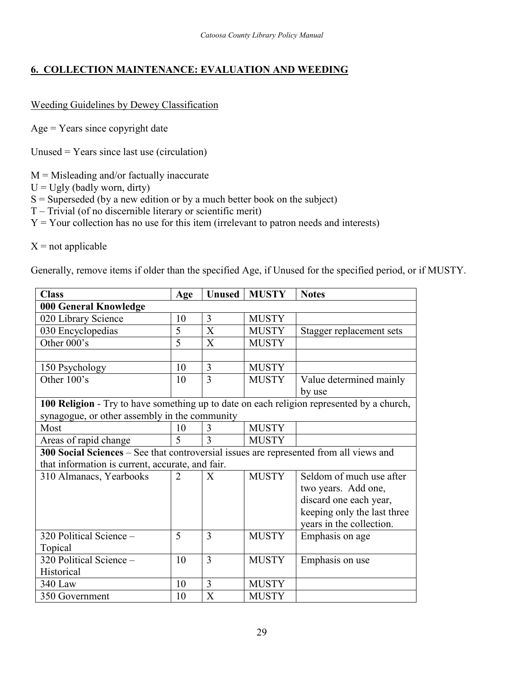## **6. COLLECTION MAINTENANCE: EVALUATION AND WEEDING**

#### Weeding Guidelines by Dewey Classification

Age = Years since copyright date

Unused = Years since last use (circulation)

 $M =$ Misleading and/or factually inaccurate

- $U = Ugly$  (badly worn, dirty)
- $S =$  Superseded (by a new edition or by a much better book on the subject)
- T Trivial (of no discernible literary or scientific merit)
- $Y = Your$  collection has no use for this item (irrelevant to patron needs and interests)

 $X = not applicable$ 

Generally, remove items if older than the specified Age, if Unused for the specified period, or if MUSTY.

| <b>Class</b>                                                                              | Age | <b>Unused</b>             | <b>MUSTY</b> | <b>Notes</b>                |
|-------------------------------------------------------------------------------------------|-----|---------------------------|--------------|-----------------------------|
| 000 General Knowledge                                                                     |     |                           |              |                             |
| 020 Library Science                                                                       | 10  | 3                         | <b>MUSTY</b> |                             |
| 030 Encyclopedias                                                                         | 5   | $\mathbf{X}$              | <b>MUSTY</b> | Stagger replacement sets    |
| Other 000's                                                                               | 5   | X                         | <b>MUSTY</b> |                             |
|                                                                                           |     |                           |              |                             |
| 150 Psychology                                                                            | 10  | 3                         | <b>MUSTY</b> |                             |
| Other 100's                                                                               | 10  | 3                         | <b>MUSTY</b> | Value determined mainly     |
|                                                                                           |     |                           |              | by use                      |
| 100 Religion - Try to have something up to date on each religion represented by a church, |     |                           |              |                             |
| synagogue, or other assembly in the community                                             |     |                           |              |                             |
| Most                                                                                      | 10  | 3                         | <b>MUSTY</b> |                             |
| Areas of rapid change                                                                     | 5   | 3                         | <b>MUSTY</b> |                             |
| 300 Social Sciences - See that controversial issues are represented from all views and    |     |                           |              |                             |
| that information is current, accurate, and fair.                                          |     |                           |              |                             |
| 310 Almanacs, Yearbooks                                                                   | 2   | X                         | <b>MUSTY</b> | Seldom of much use after    |
|                                                                                           |     |                           |              | two years. Add one,         |
|                                                                                           |     |                           |              | discard one each year,      |
|                                                                                           |     |                           |              | keeping only the last three |
|                                                                                           |     |                           |              | years in the collection.    |
| 320 Political Science -                                                                   | 5   | $\overline{3}$            | <b>MUSTY</b> | Emphasis on age             |
| Topical                                                                                   |     |                           |              |                             |
| 320 Political Science -                                                                   | 10  | 3                         | <b>MUSTY</b> | Emphasis on use             |
| Historical                                                                                |     |                           |              |                             |
| 340 Law                                                                                   | 10  | 3                         | <b>MUSTY</b> |                             |
| 350 Government                                                                            | 10  | $\boldsymbol{\mathrm{X}}$ | <b>MUSTY</b> |                             |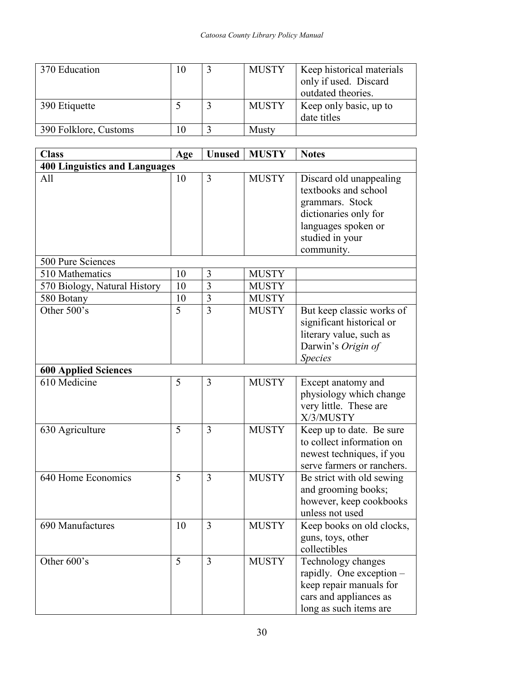| 370 Education         |  | <b>MUSTY</b> | Keep historical materials<br>only if used. Discard |
|-----------------------|--|--------------|----------------------------------------------------|
|                       |  |              | outdated theories.                                 |
| 390 Etiquette         |  | <b>MUSTY</b> | Keep only basic, up to<br>date titles              |
| 390 Folklore, Customs |  | <b>Musty</b> |                                                    |

| <b>Class</b>                         | Age | <b>Unused</b>  | <b>MUSTY</b> | <b>Notes</b>               |
|--------------------------------------|-----|----------------|--------------|----------------------------|
| <b>400 Linguistics and Languages</b> |     |                |              |                            |
| All                                  | 10  | 3              | <b>MUSTY</b> | Discard old unappealing    |
|                                      |     |                |              | textbooks and school       |
|                                      |     |                |              | grammars. Stock            |
|                                      |     |                |              | dictionaries only for      |
|                                      |     |                |              | languages spoken or        |
|                                      |     |                |              | studied in your            |
|                                      |     |                |              | community.                 |
| 500 Pure Sciences                    |     |                |              |                            |
| 510 Mathematics                      | 10  | 3              | <b>MUSTY</b> |                            |
| 570 Biology, Natural History         | 10  | $\overline{3}$ | <b>MUSTY</b> |                            |
| 580 Botany                           | 10  | $\overline{3}$ | <b>MUSTY</b> |                            |
| Other 500's                          | 5   | $\overline{3}$ | <b>MUSTY</b> | But keep classic works of  |
|                                      |     |                |              | significant historical or  |
|                                      |     |                |              | literary value, such as    |
|                                      |     |                |              | Darwin's Origin of         |
|                                      |     |                |              | <b>Species</b>             |
| <b>600 Applied Sciences</b>          |     |                |              |                            |
| 610 Medicine                         | 5   | 3              | <b>MUSTY</b> | Except anatomy and         |
|                                      |     |                |              | physiology which change    |
|                                      |     |                |              | very little. These are     |
|                                      |     |                |              | X/3/MUSTY                  |
| 630 Agriculture                      | 5   | 3              | <b>MUSTY</b> | Keep up to date. Be sure   |
|                                      |     |                |              | to collect information on  |
|                                      |     |                |              | newest techniques, if you  |
|                                      |     |                |              | serve farmers or ranchers. |
| 640 Home Economics                   | 5   | 3              | <b>MUSTY</b> | Be strict with old sewing  |
|                                      |     |                |              | and grooming books;        |
|                                      |     |                |              | however, keep cookbooks    |
|                                      |     |                |              | unless not used            |
| 690 Manufactures                     | 10  | 3              | <b>MUSTY</b> | Keep books on old clocks,  |
|                                      |     |                |              | guns, toys, other          |
|                                      |     |                |              | collectibles               |
| Other 600's                          | 5   | $\overline{3}$ | <b>MUSTY</b> | Technology changes         |
|                                      |     |                |              | rapidly. One exception -   |
|                                      |     |                |              | keep repair manuals for    |
|                                      |     |                |              | cars and appliances as     |
|                                      |     |                |              | long as such items are     |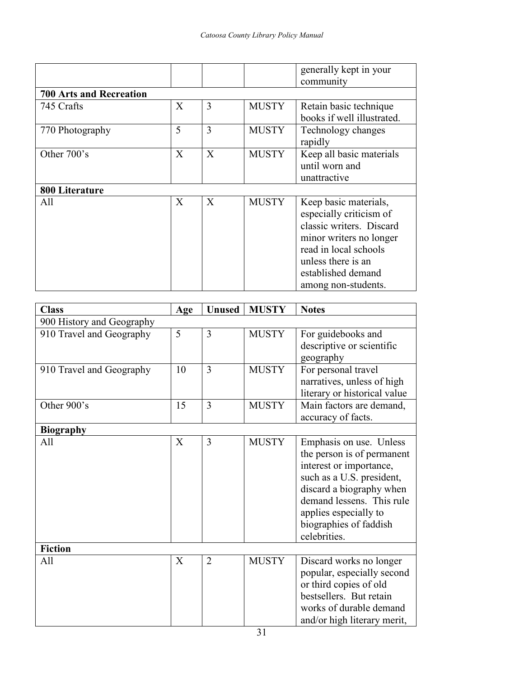|                                |                           |   |              | generally kept in your<br>community                                                                                                                                                                 |
|--------------------------------|---------------------------|---|--------------|-----------------------------------------------------------------------------------------------------------------------------------------------------------------------------------------------------|
| <b>700 Arts and Recreation</b> |                           |   |              |                                                                                                                                                                                                     |
| 745 Crafts                     | $\mathbf{X}$              | 3 | <b>MUSTY</b> | Retain basic technique<br>books if well illustrated.                                                                                                                                                |
| 770 Photography                | 5                         | 3 | <b>MUSTY</b> | Technology changes<br>rapidly                                                                                                                                                                       |
| Other 700's                    | X                         | X | <b>MUSTY</b> | Keep all basic materials<br>until worn and<br>unattractive                                                                                                                                          |
| 800 Literature                 |                           |   |              |                                                                                                                                                                                                     |
| All                            | $\boldsymbol{\mathrm{X}}$ | X | <b>MUSTY</b> | Keep basic materials,<br>especially criticism of<br>classic writers. Discard<br>minor writers no longer<br>read in local schools<br>unless there is an<br>established demand<br>among non-students. |

| <b>Class</b>              | Age | <b>Unused</b>  | <b>MUSTY</b> | <b>Notes</b>                                                                                                                                                                                                                              |
|---------------------------|-----|----------------|--------------|-------------------------------------------------------------------------------------------------------------------------------------------------------------------------------------------------------------------------------------------|
| 900 History and Geography |     |                |              |                                                                                                                                                                                                                                           |
| 910 Travel and Geography  | 5   | 3              | <b>MUSTY</b> | For guidebooks and<br>descriptive or scientific<br>geography                                                                                                                                                                              |
| 910 Travel and Geography  | 10  | 3              | <b>MUSTY</b> | For personal travel<br>narratives, unless of high<br>literary or historical value                                                                                                                                                         |
| Other 900's               | 15  | 3              | <b>MUSTY</b> | Main factors are demand,<br>accuracy of facts.                                                                                                                                                                                            |
| <b>Biography</b>          |     |                |              |                                                                                                                                                                                                                                           |
| All                       | X   | 3              | <b>MUSTY</b> | Emphasis on use. Unless<br>the person is of permanent<br>interest or importance,<br>such as a U.S. president,<br>discard a biography when<br>demand lessens. This rule<br>applies especially to<br>biographies of faddish<br>celebrities. |
| <b>Fiction</b>            |     |                |              |                                                                                                                                                                                                                                           |
| All                       | X   | $\overline{2}$ | <b>MUSTY</b> | Discard works no longer<br>popular, especially second<br>or third copies of old<br>bestsellers. But retain<br>works of durable demand<br>and/or high literary merit,                                                                      |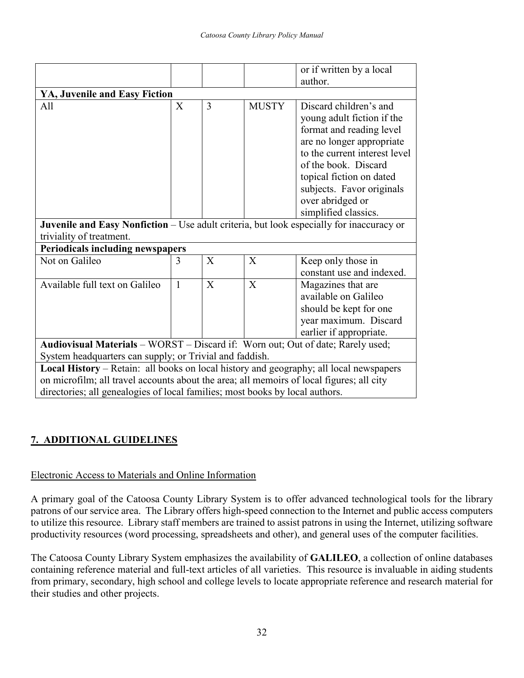|                                                                                          |              |   |              | or if written by a local                                   |  |
|------------------------------------------------------------------------------------------|--------------|---|--------------|------------------------------------------------------------|--|
|                                                                                          |              |   |              | author.                                                    |  |
| YA, Juvenile and Easy Fiction                                                            |              |   |              |                                                            |  |
| All                                                                                      | X            | 3 | <b>MUSTY</b> | Discard children's and                                     |  |
|                                                                                          |              |   |              | young adult fiction if the                                 |  |
|                                                                                          |              |   |              | format and reading level                                   |  |
|                                                                                          |              |   |              | are no longer appropriate<br>to the current interest level |  |
|                                                                                          |              |   |              | of the book. Discard                                       |  |
|                                                                                          |              |   |              | topical fiction on dated                                   |  |
|                                                                                          |              |   |              | subjects. Favor originals                                  |  |
|                                                                                          |              |   |              | over abridged or                                           |  |
|                                                                                          |              |   |              | simplified classics.                                       |  |
| Juvenile and Easy Nonfiction - Use adult criteria, but look especially for inaccuracy or |              |   |              |                                                            |  |
| triviality of treatment.                                                                 |              |   |              |                                                            |  |
| <b>Periodicals including newspapers</b>                                                  |              |   |              |                                                            |  |
| Not on Galileo                                                                           | 3            | X | $\mathbf{X}$ | Keep only those in                                         |  |
|                                                                                          |              |   |              | constant use and indexed.                                  |  |
| Available full text on Galileo                                                           | $\mathbf{1}$ | X | X            | Magazines that are                                         |  |
|                                                                                          |              |   |              | available on Galileo                                       |  |
|                                                                                          |              |   |              | should be kept for one                                     |  |
|                                                                                          |              |   |              | year maximum. Discard                                      |  |
|                                                                                          |              |   |              | earlier if appropriate.                                    |  |
| Audiovisual Materials - WORST - Discard if: Worn out; Out of date; Rarely used;          |              |   |              |                                                            |  |
| System headquarters can supply; or Trivial and faddish.                                  |              |   |              |                                                            |  |
| Local History – Retain: all books on local history and geography; all local newspapers   |              |   |              |                                                            |  |
| on microfilm; all travel accounts about the area; all memoirs of local figures; all city |              |   |              |                                                            |  |
| directories; all genealogies of local families; most books by local authors.             |              |   |              |                                                            |  |

## **7. ADDITIONAL GUIDELINES**

## Electronic Access to Materials and Online Information

A primary goal of the Catoosa County Library System is to offer advanced technological tools for the library patrons of our service area. The Library offers high-speed connection to the Internet and public access computers to utilize this resource. Library staff members are trained to assist patrons in using the Internet, utilizing software productivity resources (word processing, spreadsheets and other), and general uses of the computer facilities.

The Catoosa County Library System emphasizes the availability of **GALILEO**, a collection of online databases containing reference material and full-text articles of all varieties. This resource is invaluable in aiding students from primary, secondary, high school and college levels to locate appropriate reference and research material for their studies and other projects.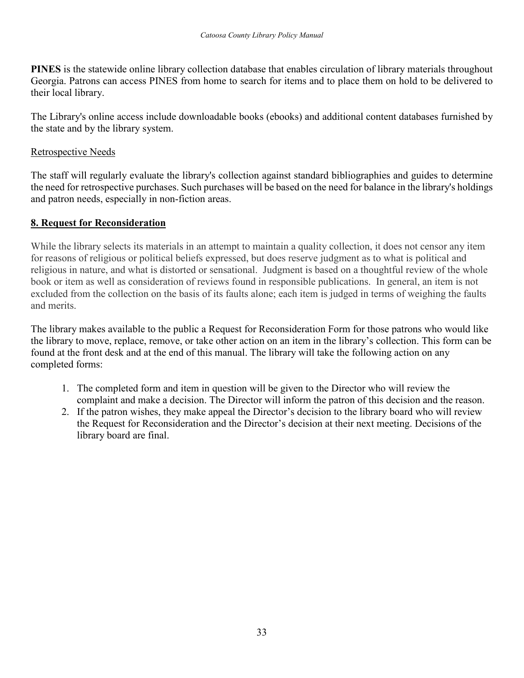**PINES** is the statewide online library collection database that enables circulation of library materials throughout Georgia. Patrons can access PINES from home to search for items and to place them on hold to be delivered to their local library.

The Library's online access include downloadable books (ebooks) and additional content databases furnished by the state and by the library system.

#### Retrospective Needs

The staff will regularly evaluate the library's collection against standard bibliographies and guides to determine the need for retrospective purchases. Such purchases will be based on the need for balance in the library's holdings and patron needs, especially in non-fiction areas.

## **8. Request for Reconsideration**

While the library selects its materials in an attempt to maintain a quality collection, it does not censor any item for reasons of religious or political beliefs expressed, but does reserve judgment as to what is political and religious in nature, and what is distorted or sensational. Judgment is based on a thoughtful review of the whole book or item as well as consideration of reviews found in responsible publications. In general, an item is not excluded from the collection on the basis of its faults alone; each item is judged in terms of weighing the faults and merits.

The library makes available to the public a Request for Reconsideration Form for those patrons who would like the library to move, replace, remove, or take other action on an item in the library's collection. This form can be found at the front desk and at the end of this manual. The library will take the following action on any completed forms:

- 1. The completed form and item in question will be given to the Director who will review the complaint and make a decision. The Director will inform the patron of this decision and the reason.
- 2. If the patron wishes, they make appeal the Director's decision to the library board who will review the Request for Reconsideration and the Director's decision at their next meeting. Decisions of the library board are final.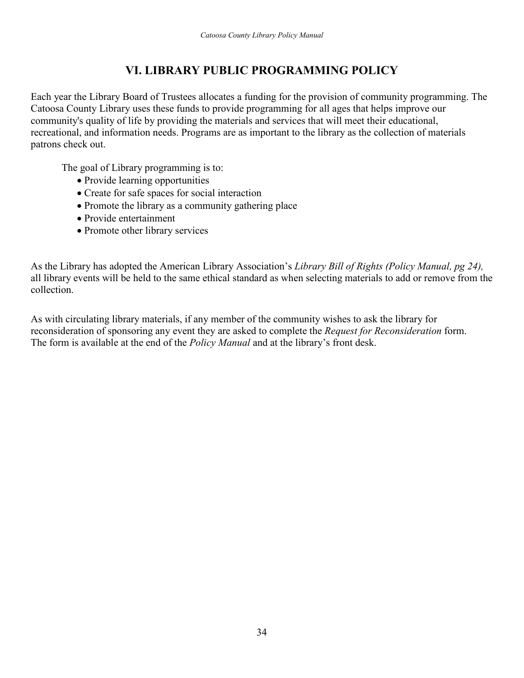## **VI. LIBRARY PUBLIC PROGRAMMING POLICY**

Each year the Library Board of Trustees allocates a funding for the provision of community programming. The Catoosa County Library uses these funds to provide programming for all ages that helps improve our community's quality of life by providing the materials and services that will meet their educational, recreational, and information needs. Programs are as important to the library as the collection of materials patrons check out.

The goal of Library programming is to:

- Provide learning opportunities
- Create for safe spaces for social interaction
- Promote the library as a community gathering place
- Provide entertainment
- Promote other library services

As the Library has adopted the American Library Association's *Library Bill of Rights (Policy Manual, pg 24),* all library events will be held to the same ethical standard as when selecting materials to add or remove from the collection.

As with circulating library materials, if any member of the community wishes to ask the library for reconsideration of sponsoring any event they are asked to complete the *Request for Reconsideration* form. The form is available at the end of the *Policy Manual* and at the library's front desk.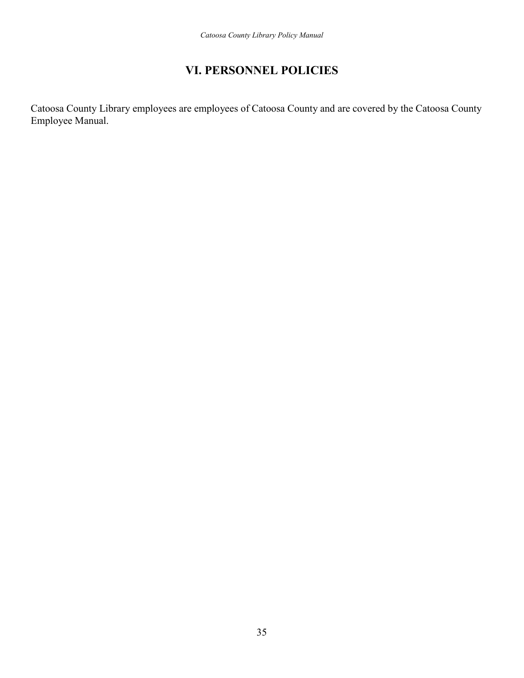## **VI. PERSONNEL POLICIES**

Catoosa County Library employees are employees of Catoosa County and are covered by the Catoosa County Employee Manual.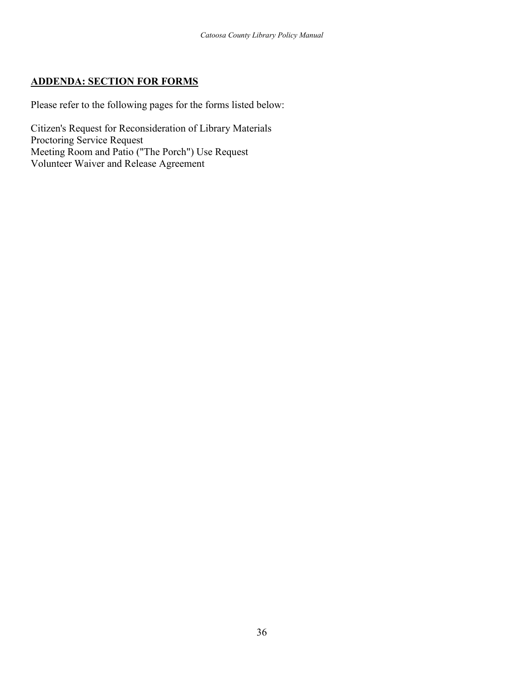#### **ADDENDA: SECTION FOR FORMS**

Please refer to the following pages for the forms listed below:

Citizen's Request for Reconsideration of Library Materials Proctoring Service Request Meeting Room and Patio ("The Porch") Use Request Volunteer Waiver and Release Agreement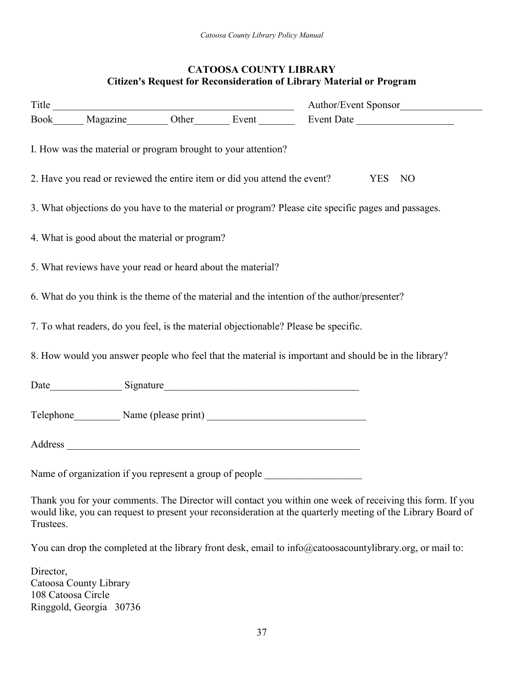#### **CATOOSA COUNTY LIBRARY Citizen's Request for Reconsideration of Library Material or Program**

|                                                               |  | Author/Event Sponsor                                                                                     |
|---------------------------------------------------------------|--|----------------------------------------------------------------------------------------------------------|
|                                                               |  |                                                                                                          |
| I. How was the material or program brought to your attention? |  |                                                                                                          |
|                                                               |  | 2. Have you read or reviewed the entire item or did you attend the event?<br>YES NO                      |
|                                                               |  | 3. What objections do you have to the material or program? Please cite specific pages and passages.      |
| 4. What is good about the material or program?                |  |                                                                                                          |
| 5. What reviews have your read or heard about the material?   |  |                                                                                                          |
|                                                               |  | 6. What do you think is the theme of the material and the intention of the author/presenter?             |
|                                                               |  | 7. To what readers, do you feel, is the material objectionable? Please be specific.                      |
|                                                               |  | 8. How would you answer people who feel that the material is important and should be in the library?     |
|                                                               |  |                                                                                                          |
|                                                               |  | Telephone Name (please print)                                                                            |
|                                                               |  |                                                                                                          |
|                                                               |  | Name of organization if you represent a group of people ________________________                         |
|                                                               |  | Thank you for your comments. The Director will contact you within one week of receiving this form If you |

Thank you for your comments. The Director will contact you within one week of receiving this form. If you would like, you can request to present your reconsideration at the quarterly meeting of the Library Board of Trustees.

You can drop the completed at the library front desk, email to info@catoosacountylibrary.org, or mail to:

Director, Catoosa County Library 108 Catoosa Circle Ringgold, Georgia 30736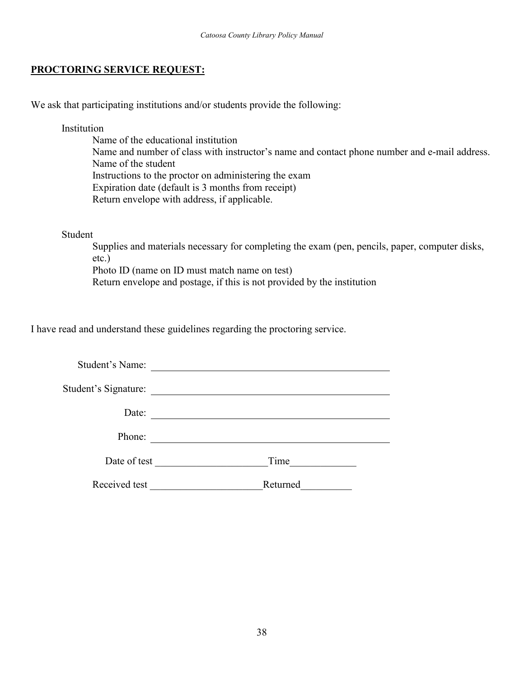#### **PROCTORING SERVICE REQUEST:**

We ask that participating institutions and/or students provide the following:

Institution

Name of the educational institution Name and number of class with instructor's name and contact phone number and e-mail address. Name of the student Instructions to the proctor on administering the exam Expiration date (default is 3 months from receipt) Return envelope with address, if applicable.

#### Student

Supplies and materials necessary for completing the exam (pen, pencils, paper, computer disks, etc.) Photo ID (name on ID must match name on test) Return envelope and postage, if this is not provided by the institution

I have read and understand these guidelines regarding the proctoring service.

| Student's Name:      |          |
|----------------------|----------|
| Student's Signature: |          |
| Date:                |          |
| Phone:               |          |
| Date of test         | Time     |
| Received test        | Returned |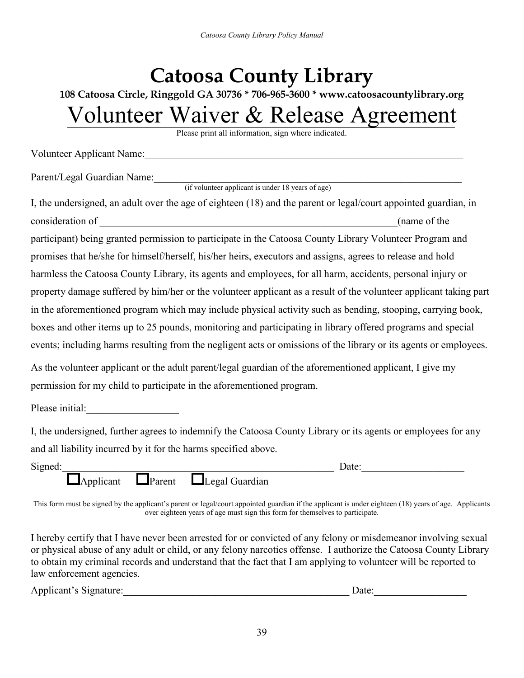# **Catoosa County Library**

**108 Catoosa Circle, Ringgold GA 30736 \* 706-965-3600 \* www.catoosacountylibrary.org**

## Volunteer Waiver & Release Agreement

Please print all information, sign where indicated.

Volunteer Applicant Name:

Parent/Legal Guardian Name:

(if volunteer applicant is under 18 years of age)

| I, the undersigned, an adult over the age of eighteen (18) and the parent or legal/court appointed guardian, in   |
|-------------------------------------------------------------------------------------------------------------------|
| consideration of<br>(name of the                                                                                  |
| participant) being granted permission to participate in the Catoosa County Library Volunteer Program and          |
| promises that he/she for himself/herself, his/her heirs, executors and assigns, agrees to release and hold        |
| harmless the Catoosa County Library, its agents and employees, for all harm, accidents, personal injury or        |
| property damage suffered by him/her or the volunteer applicant as a result of the volunteer applicant taking part |
| in the aforementioned program which may include physical activity such as bending, stooping, carrying book,       |
| boxes and other items up to 25 pounds, monitoring and participating in library offered programs and special       |
| events; including harms resulting from the negligent acts or omissions of the library or its agents or employees. |

As the volunteer applicant or the adult parent/legal guardian of the aforementioned applicant, I give my permission for my child to participate in the aforementioned program.

Please initial:

I, the undersigned, further agrees to indemnify the Catoosa County Library or its agents or employees for any and all liability incurred by it for the harms specified above.

| Signed: |                |         |                | Date: |  |
|---------|----------------|---------|----------------|-------|--|
|         | . .<br>plıcanı | lParent | Legal Guardian |       |  |

This form must be signed by the applicant's parent or legal/court appointed guardian if the applicant is under eighteen (18) years of age. Applicants over eighteen years of age must sign this form for themselves to participate.

I hereby certify that I have never been arrested for or convicted of any felony or misdemeanor involving sexual or physical abuse of any adult or child, or any felony narcotics offense. I authorize the Catoosa County Library to obtain my criminal records and understand that the fact that I am applying to volunteer will be reported to law enforcement agencies.

Applicant's Signature:\_\_\_\_\_\_\_\_\_\_\_\_\_\_\_\_\_\_\_\_\_\_\_\_\_\_\_\_\_\_\_\_\_\_\_\_\_\_\_\_\_\_\_\_ Date:\_\_\_\_\_\_\_\_\_\_\_\_\_\_\_\_\_\_